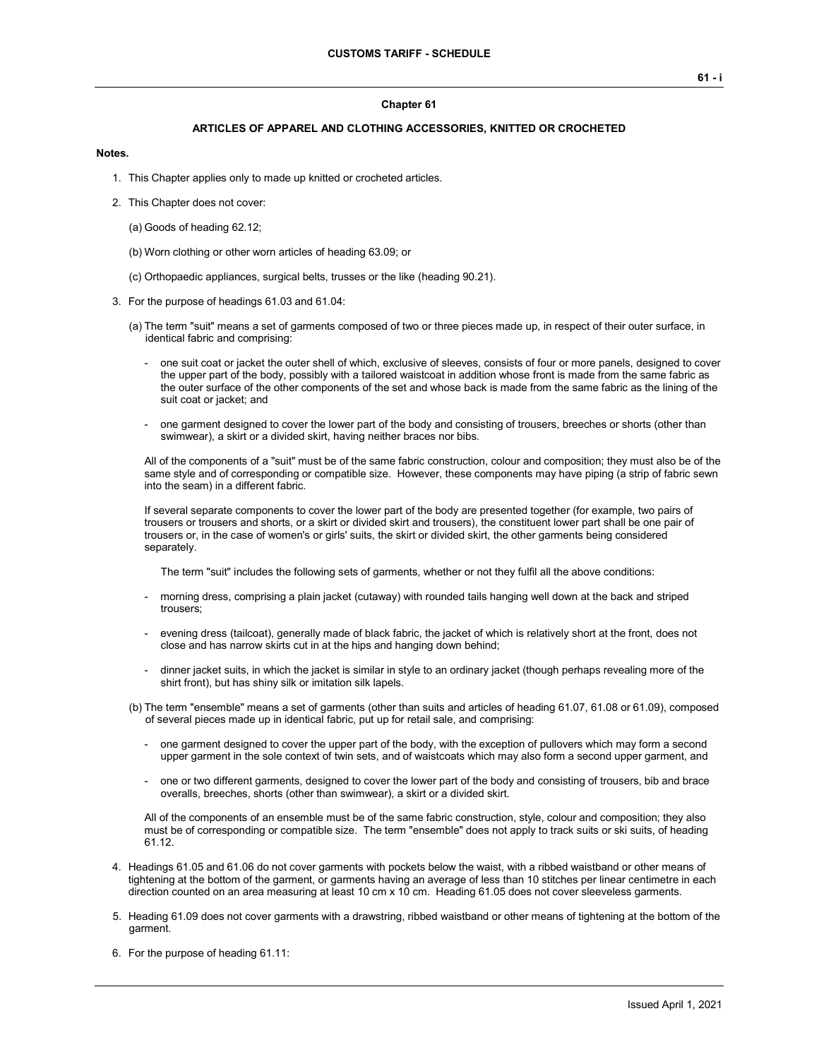#### **Chapter 61**

#### **ARTICLES OF APPAREL AND CLOTHING ACCESSORIES, KNITTED OR CROCHETED**

### **Notes.**

- 1. This Chapter applies only to made up knitted or crocheted articles.
- 2. This Chapter does not cover:
	- (a) Goods of heading 62.12;
	- (b) Worn clothing or other worn articles of heading 63.09; or
	- (c) Orthopaedic appliances, surgical belts, trusses or the like (heading 90.21).
- 3. For the purpose of headings 61.03 and 61.04:
	- (a) The term "suit" means a set of garments composed of two or three pieces made up, in respect of their outer surface, in identical fabric and comprising:
		- one suit coat or jacket the outer shell of which, exclusive of sleeves, consists of four or more panels, designed to cover the upper part of the body, possibly with a tailored waistcoat in addition whose front is made from the same fabric as the outer surface of the other components of the set and whose back is made from the same fabric as the lining of the suit coat or jacket; and
		- one garment designed to cover the lower part of the body and consisting of trousers, breeches or shorts (other than swimwear), a skirt or a divided skirt, having neither braces nor bibs.

All of the components of a "suit" must be of the same fabric construction, colour and composition; they must also be of the same style and of corresponding or compatible size. However, these components may have piping (a strip of fabric sewn into the seam) in a different fabric.

If several separate components to cover the lower part of the body are presented together (for example, two pairs of trousers or trousers and shorts, or a skirt or divided skirt and trousers), the constituent lower part shall be one pair of trousers or, in the case of women's or girls' suits, the skirt or divided skirt, the other garments being considered separately.

The term "suit" includes the following sets of garments, whether or not they fulfil all the above conditions:

- morning dress, comprising a plain jacket (cutaway) with rounded tails hanging well down at the back and striped trousers;
- evening dress (tailcoat), generally made of black fabric, the jacket of which is relatively short at the front, does not close and has narrow skirts cut in at the hips and hanging down behind;
- dinner jacket suits, in which the jacket is similar in style to an ordinary jacket (though perhaps revealing more of the shirt front), but has shiny silk or imitation silk lapels.

(b) The term "ensemble" means a set of garments (other than suits and articles of heading 61.07, 61.08 or 61.09), composed of several pieces made up in identical fabric, put up for retail sale, and comprising:

- one garment designed to cover the upper part of the body, with the exception of pullovers which may form a second upper garment in the sole context of twin sets, and of waistcoats which may also form a second upper garment, and
- one or two different garments, designed to cover the lower part of the body and consisting of trousers, bib and brace overalls, breeches, shorts (other than swimwear), a skirt or a divided skirt.

All of the components of an ensemble must be of the same fabric construction, style, colour and composition; they also must be of corresponding or compatible size. The term "ensemble" does not apply to track suits or ski suits, of heading 61.12.

- 4. Headings 61.05 and 61.06 do not cover garments with pockets below the waist, with a ribbed waistband or other means of tightening at the bottom of the garment, or garments having an average of less than 10 stitches per linear centimetre in each direction counted on an area measuring at least 10 cm x 10 cm. Heading 61.05 does not cover sleeveless garments.
- 5. Heading 61.09 does not cover garments with a drawstring, ribbed waistband or other means of tightening at the bottom of the garment.
- 6. For the purpose of heading 61.11: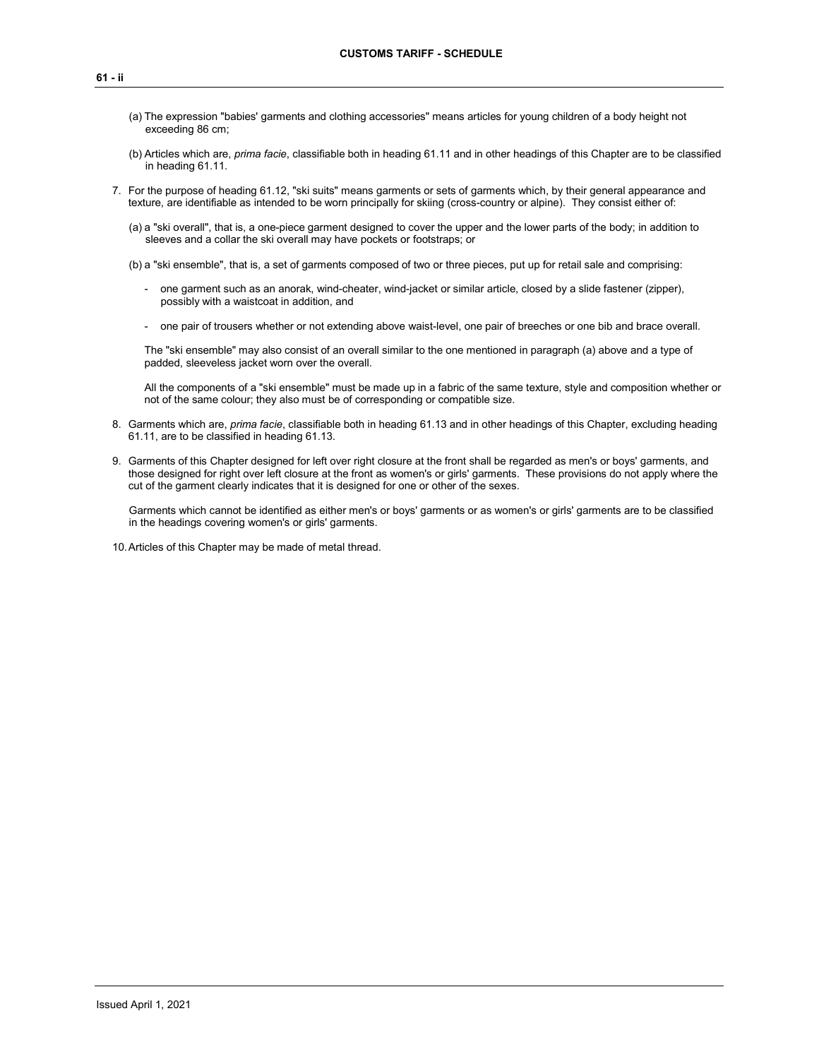- (a) The expression "babies' garments and clothing accessories" means articles for young children of a body height not exceeding 86 cm;
- (b) Articles which are, *prima facie*, classifiable both in heading 61.11 and in other headings of this Chapter are to be classified in heading 61.11.
- 7. For the purpose of heading 61.12, "ski suits" means garments or sets of garments which, by their general appearance and texture, are identifiable as intended to be worn principally for skiing (cross-country or alpine). They consist either of:
	- (a) a "ski overall", that is, a one-piece garment designed to cover the upper and the lower parts of the body; in addition to sleeves and a collar the ski overall may have pockets or footstraps; or
	- (b) a "ski ensemble", that is, a set of garments composed of two or three pieces, put up for retail sale and comprising:
		- one garment such as an anorak, wind-cheater, wind-jacket or similar article, closed by a slide fastener (zipper), possibly with a waistcoat in addition, and
		- one pair of trousers whether or not extending above waist-level, one pair of breeches or one bib and brace overall.

The "ski ensemble" may also consist of an overall similar to the one mentioned in paragraph (a) above and a type of padded, sleeveless jacket worn over the overall.

All the components of a "ski ensemble" must be made up in a fabric of the same texture, style and composition whether or not of the same colour; they also must be of corresponding or compatible size.

- 8. Garments which are, *prima facie*, classifiable both in heading 61.13 and in other headings of this Chapter, excluding heading 61.11, are to be classified in heading 61.13.
- 9. Garments of this Chapter designed for left over right closure at the front shall be regarded as men's or boys' garments, and those designed for right over left closure at the front as women's or girls' garments. These provisions do not apply where the cut of the garment clearly indicates that it is designed for one or other of the sexes.

Garments which cannot be identified as either men's or boys' garments or as women's or girls' garments are to be classified in the headings covering women's or girls' garments.

10.Articles of this Chapter may be made of metal thread.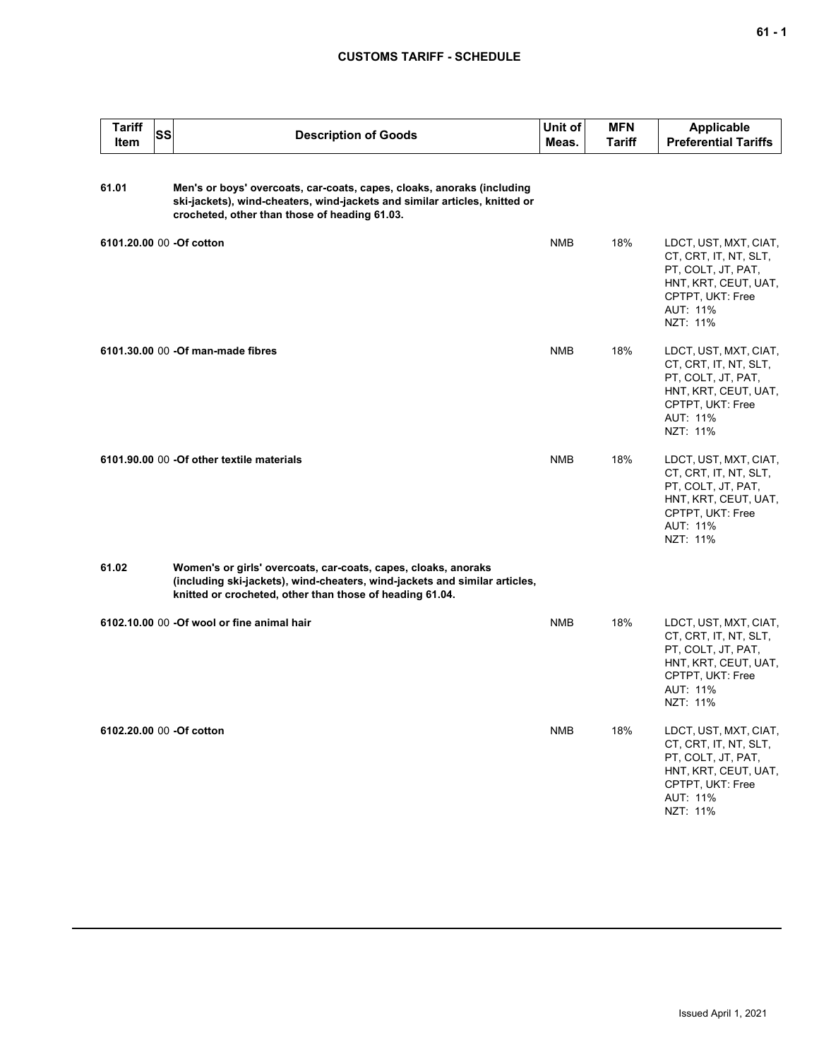| <b>Tariff</b><br>Item    | <b>SS</b> | <b>Description of Goods</b>                                                                                                                                                                              | Unit of<br>Meas. | <b>MFN</b><br><b>Tariff</b> | <b>Applicable</b><br><b>Preferential Tariffs</b>                                                                                         |
|--------------------------|-----------|----------------------------------------------------------------------------------------------------------------------------------------------------------------------------------------------------------|------------------|-----------------------------|------------------------------------------------------------------------------------------------------------------------------------------|
| 61.01                    |           | Men's or boys' overcoats, car-coats, capes, cloaks, anoraks (including<br>ski-jackets), wind-cheaters, wind-jackets and similar articles, knitted or<br>crocheted, other than those of heading 61.03.    |                  |                             |                                                                                                                                          |
|                          |           | 6101.20.00 00 -Of cotton                                                                                                                                                                                 | <b>NMB</b>       | 18%                         | LDCT, UST, MXT, CIAT,<br>CT, CRT, IT, NT, SLT,<br>PT, COLT, JT, PAT,<br>HNT, KRT, CEUT, UAT,<br>CPTPT, UKT: Free<br>AUT: 11%<br>NZT: 11% |
|                          |           | 6101.30.00 00 -Of man-made fibres                                                                                                                                                                        | <b>NMB</b>       | 18%                         | LDCT, UST, MXT, CIAT,<br>CT, CRT, IT, NT, SLT,<br>PT, COLT, JT, PAT,<br>HNT, KRT, CEUT, UAT,<br>CPTPT, UKT: Free<br>AUT: 11%<br>NZT: 11% |
|                          |           | 6101.90.00 00 - Of other textile materials                                                                                                                                                               | <b>NMB</b>       | 18%                         | LDCT, UST, MXT, CIAT,<br>CT, CRT, IT, NT, SLT,<br>PT, COLT, JT, PAT,<br>HNT, KRT, CEUT, UAT,<br>CPTPT, UKT: Free<br>AUT: 11%<br>NZT: 11% |
| 61.02                    |           | Women's or girls' overcoats, car-coats, capes, cloaks, anoraks<br>(including ski-jackets), wind-cheaters, wind-jackets and similar articles,<br>knitted or crocheted, other than those of heading 61.04. |                  |                             |                                                                                                                                          |
|                          |           | 6102.10.00 00 -Of wool or fine animal hair                                                                                                                                                               | <b>NMB</b>       | 18%                         | LDCT, UST, MXT, CIAT,<br>CT, CRT, IT, NT, SLT,<br>PT, COLT, JT, PAT,<br>HNT, KRT, CEUT, UAT,<br>CPTPT, UKT: Free<br>AUT: 11%<br>NZT: 11% |
| 6102.20.00 00 -Of cotton |           |                                                                                                                                                                                                          | <b>NMB</b>       | 18%                         | LDCT, UST, MXT, CIAT,<br>CT, CRT, IT, NT, SLT,<br>PT, COLT, JT, PAT,<br>HNT, KRT, CEUT, UAT,<br>CPTPT, UKT: Free<br>AUT: 11%<br>NZT: 11% |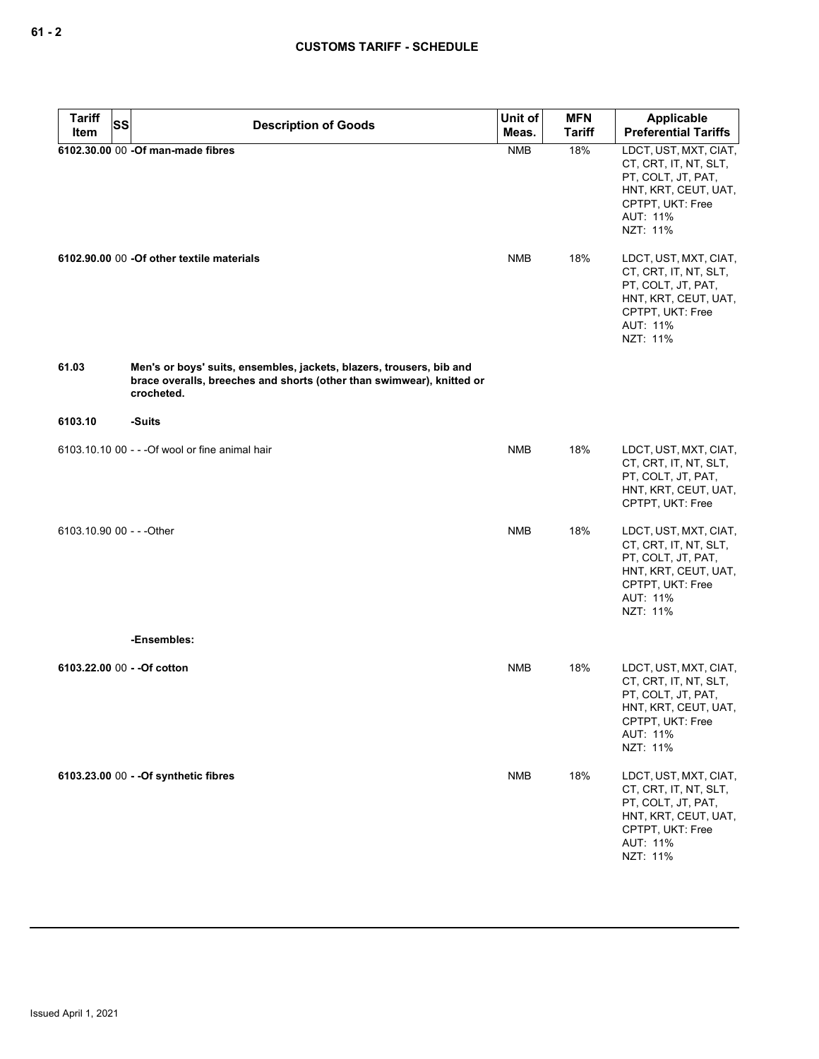| <b>Tariff</b><br><b>SS</b><br>Item | <b>Description of Goods</b>                                                                                                                                 | Unit of<br>Meas. | <b>MFN</b><br><b>Tariff</b> | <b>Applicable</b><br><b>Preferential Tariffs</b>                                                                                         |
|------------------------------------|-------------------------------------------------------------------------------------------------------------------------------------------------------------|------------------|-----------------------------|------------------------------------------------------------------------------------------------------------------------------------------|
|                                    | 6102.30.00 00 - Of man-made fibres                                                                                                                          | <b>NMB</b>       | 18%                         | LDCT, UST, MXT, CIAT,<br>CT, CRT, IT, NT, SLT,<br>PT, COLT, JT, PAT,<br>HNT, KRT, CEUT, UAT,<br>CPTPT, UKT: Free<br>AUT: 11%<br>NZT: 11% |
|                                    | 6102.90.00 00 -Of other textile materials                                                                                                                   | <b>NMB</b>       | 18%                         | LDCT, UST, MXT, CIAT,<br>CT, CRT, IT, NT, SLT,<br>PT, COLT, JT, PAT,<br>HNT, KRT, CEUT, UAT,<br>CPTPT, UKT: Free<br>AUT: 11%<br>NZT: 11% |
| 61.03                              | Men's or boys' suits, ensembles, jackets, blazers, trousers, bib and<br>brace overalls, breeches and shorts (other than swimwear), knitted or<br>crocheted. |                  |                             |                                                                                                                                          |
| 6103.10                            | -Suits                                                                                                                                                      |                  |                             |                                                                                                                                          |
|                                    | 6103.10.10 00 - - - Of wool or fine animal hair                                                                                                             | <b>NMB</b>       | 18%                         | LDCT, UST, MXT, CIAT,<br>CT, CRT, IT, NT, SLT,<br>PT, COLT, JT, PAT,<br>HNT, KRT, CEUT, UAT,<br>CPTPT, UKT: Free                         |
| 6103.10.90 00 - - - Other          |                                                                                                                                                             | <b>NMB</b>       | 18%                         | LDCT, UST, MXT, CIAT,<br>CT, CRT, IT, NT, SLT,<br>PT, COLT, JT, PAT,<br>HNT, KRT, CEUT, UAT,<br>CPTPT, UKT: Free<br>AUT: 11%<br>NZT: 11% |
|                                    | -Ensembles:                                                                                                                                                 |                  |                             |                                                                                                                                          |
| 6103.22.00 00 - - Of cotton        |                                                                                                                                                             | <b>NMB</b>       | 18%                         | LDCT, UST, MXT, CIAT,<br>CT, CRT, IT, NT, SLT,<br>PT, COLT, JT, PAT,<br>HNT, KRT, CEUT, UAT,<br>CPTPT, UKT: Free<br>AUT: 11%<br>NZT: 11% |
|                                    | 6103.23.00 00 - - Of synthetic fibres                                                                                                                       | <b>NMB</b>       | 18%                         | LDCT, UST, MXT, CIAT,<br>CT, CRT, IT, NT, SLT,<br>PT, COLT, JT, PAT,<br>HNT, KRT, CEUT, UAT,<br>CPTPT, UKT: Free<br>AUT: 11%<br>NZT: 11% |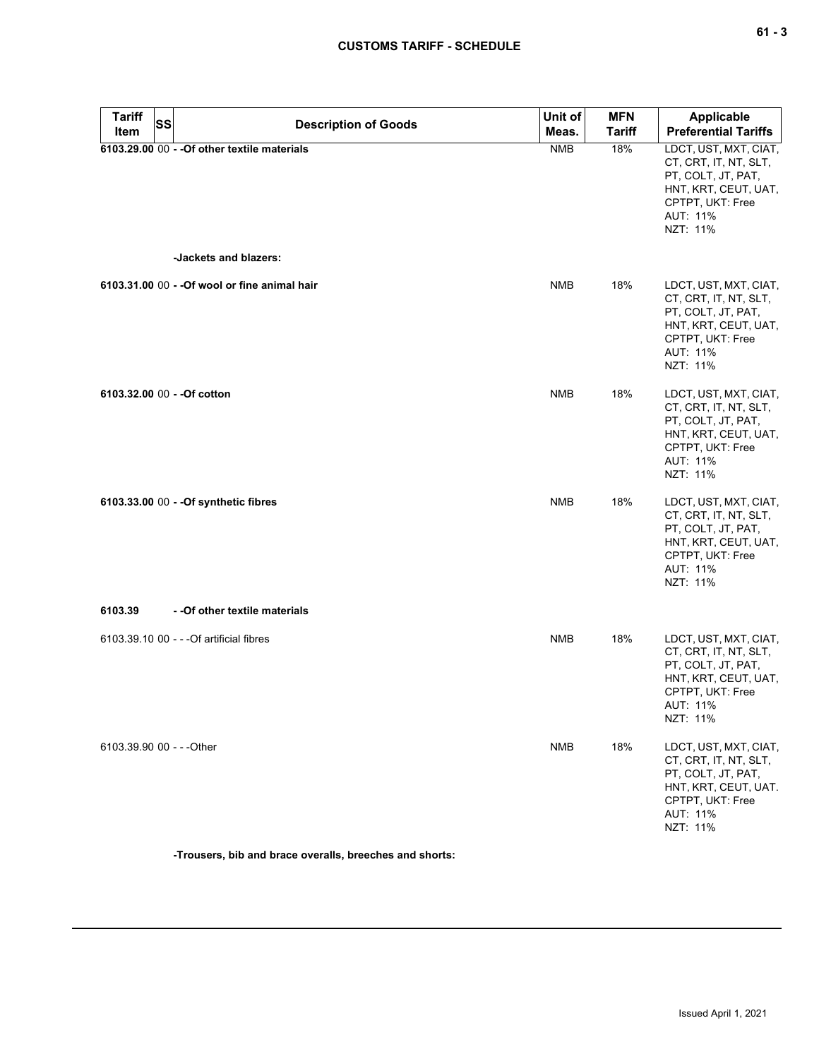| <b>Tariff</b>             | <b>SS</b> | <b>Description of Goods</b>                   | Unit of    | <b>MFN</b>           | <b>Applicable</b>                                                                                                                        |
|---------------------------|-----------|-----------------------------------------------|------------|----------------------|------------------------------------------------------------------------------------------------------------------------------------------|
| Item                      |           | 6103.29.00 00 - - Of other textile materials  | Meas.      | <b>Tariff</b><br>18% | <b>Preferential Tariffs</b>                                                                                                              |
|                           |           |                                               | <b>NMB</b> |                      | LDCT, UST, MXT, CIAT,<br>CT, CRT, IT, NT, SLT,<br>PT, COLT, JT, PAT,<br>HNT, KRT, CEUT, UAT,<br>CPTPT, UKT: Free<br>AUT: 11%<br>NZT: 11% |
|                           |           | -Jackets and blazers:                         |            |                      |                                                                                                                                          |
|                           |           | 6103.31.00 00 - - Of wool or fine animal hair | <b>NMB</b> | 18%                  | LDCT, UST, MXT, CIAT,<br>CT, CRT, IT, NT, SLT,<br>PT, COLT, JT, PAT,<br>HNT, KRT, CEUT, UAT,<br>CPTPT, UKT: Free<br>AUT: 11%<br>NZT: 11% |
|                           |           | 6103.32.00 00 - - Of cotton                   | <b>NMB</b> | 18%                  | LDCT, UST, MXT, CIAT,<br>CT, CRT, IT, NT, SLT,<br>PT, COLT, JT, PAT,<br>HNT, KRT, CEUT, UAT,<br>CPTPT, UKT: Free<br>AUT: 11%<br>NZT: 11% |
|                           |           | 6103.33.00 00 - - Of synthetic fibres         | <b>NMB</b> | 18%                  | LDCT, UST, MXT, CIAT,<br>CT, CRT, IT, NT, SLT,<br>PT, COLT, JT, PAT,<br>HNT, KRT, CEUT, UAT,<br>CPTPT, UKT: Free<br>AUT: 11%<br>NZT: 11% |
| 6103.39                   |           | - - Of other textile materials                |            |                      |                                                                                                                                          |
|                           |           | 6103.39.10 00 - - - Of artificial fibres      | <b>NMB</b> | 18%                  | LDCT, UST, MXT, CIAT,<br>CT, CRT, IT, NT, SLT,<br>PT, COLT, JT, PAT,<br>HNT, KRT, CEUT, UAT,<br>CPTPT, UKT: Free<br>AUT: 11%<br>NZT: 11% |
| 6103.39.90 00 - - - Other |           |                                               | <b>NMB</b> | 18%                  | LDCT, UST, MXT, CIAT,<br>CT, CRT, IT, NT, SLT,<br>PT, COLT, JT, PAT,<br>HNT, KRT, CEUT, UAT.<br>CPTPT, UKT: Free<br>AUT: 11%<br>NZT: 11% |

**-Trousers, bib and brace overalls, breeches and shorts:**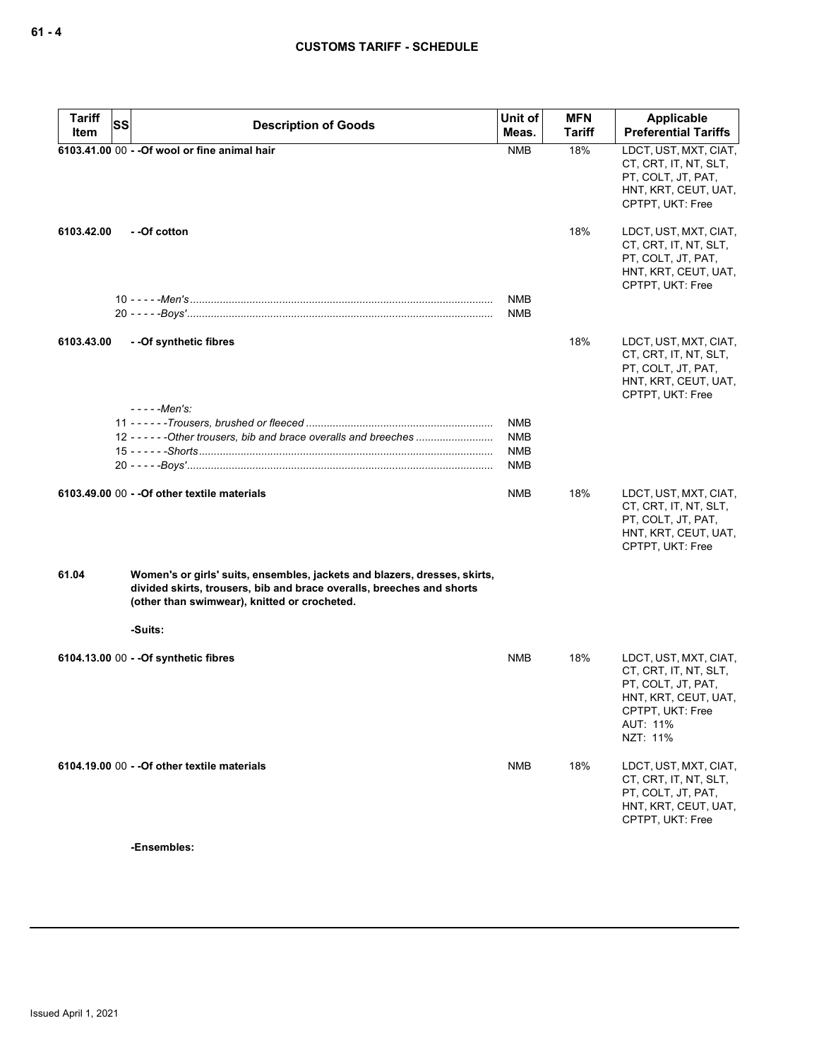| <b>Tariff</b><br>Item | SS<br><b>Description of Goods</b>                                                                                                                                                                  | Unit of<br>Meas.                                     | <b>MFN</b><br>Tariff | Applicable<br><b>Preferential Tariffs</b>                                                                                                |
|-----------------------|----------------------------------------------------------------------------------------------------------------------------------------------------------------------------------------------------|------------------------------------------------------|----------------------|------------------------------------------------------------------------------------------------------------------------------------------|
|                       | 6103.41.00 00 - - Of wool or fine animal hair                                                                                                                                                      | <b>NMB</b>                                           | 18%                  | LDCT, UST, MXT, CIAT,<br>CT, CRT, IT, NT, SLT,<br>PT, COLT, JT, PAT,<br>HNT, KRT, CEUT, UAT,<br>CPTPT, UKT: Free                         |
| 6103.42.00            | - -Of cotton                                                                                                                                                                                       |                                                      | 18%                  | LDCT, UST, MXT, CIAT,<br>CT, CRT, IT, NT, SLT,<br>PT, COLT, JT, PAT,<br>HNT, KRT, CEUT, UAT,<br>CPTPT, UKT: Free                         |
|                       |                                                                                                                                                                                                    | NMB<br><b>NMB</b>                                    |                      |                                                                                                                                          |
| 6103.43.00            | - - Of synthetic fibres                                                                                                                                                                            |                                                      | 18%                  | LDCT, UST, MXT, CIAT,<br>CT, CRT, IT, NT, SLT,<br>PT, COLT, JT, PAT,<br>HNT, KRT, CEUT, UAT,<br>CPTPT, UKT: Free                         |
|                       | $---$ Men's:<br>12 - - - - - - Other trousers, bib and brace overalls and breeches                                                                                                                 | <b>NMB</b><br><b>NMB</b><br><b>NMB</b><br><b>NMB</b> |                      |                                                                                                                                          |
|                       | 6103.49.00 00 - - Of other textile materials                                                                                                                                                       | NMB                                                  | 18%                  | LDCT, UST, MXT, CIAT,<br>CT, CRT, IT, NT, SLT,<br>PT, COLT, JT, PAT,<br>HNT, KRT, CEUT, UAT,<br>CPTPT, UKT: Free                         |
| 61.04                 | Women's or girls' suits, ensembles, jackets and blazers, dresses, skirts,<br>divided skirts, trousers, bib and brace overalls, breeches and shorts<br>(other than swimwear), knitted or crocheted. |                                                      |                      |                                                                                                                                          |
|                       | -Suits:                                                                                                                                                                                            |                                                      |                      |                                                                                                                                          |
|                       | 6104.13.00 00 - - Of synthetic fibres                                                                                                                                                              | NMB                                                  | 18%                  | LDCT, UST, MXT, CIAT,<br>CT, CRT, IT, NT, SLT,<br>PT, COLT, JT, PAT,<br>HNT, KRT, CEUT, UAT,<br>CPTPT, UKT: Free<br>AUT: 11%<br>NZT: 11% |
|                       | 6104.19.00 00 - - Of other textile materials                                                                                                                                                       | NMB                                                  | 18%                  | LDCT, UST, MXT, CIAT,<br>CT, CRT, IT, NT, SLT,<br>PT, COLT, JT, PAT,<br>HNT, KRT, CEUT, UAT,<br>CPTPT, UKT: Free                         |

**-Ensembles:**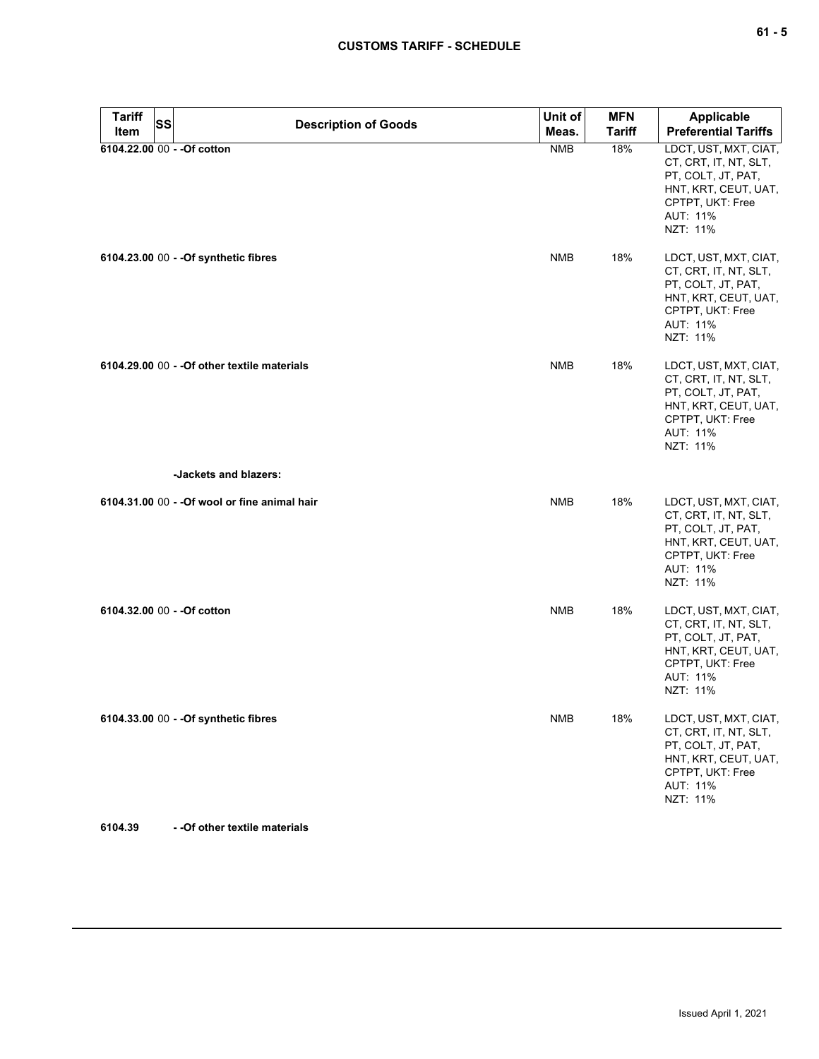| <b>Tariff</b>               | <b>SS</b> | <b>Description of Goods</b>                   | Unit of    | <b>MFN</b>    | <b>Applicable</b>                                                                                                                        |
|-----------------------------|-----------|-----------------------------------------------|------------|---------------|------------------------------------------------------------------------------------------------------------------------------------------|
| Item                        |           |                                               | Meas.      | <b>Tariff</b> | <b>Preferential Tariffs</b>                                                                                                              |
| 6104.22.00 00 - - Of cotton |           |                                               | <b>NMB</b> | 18%           | LDCT, UST, MXT, CIAT,<br>CT, CRT, IT, NT, SLT,<br>PT, COLT, JT, PAT,<br>HNT, KRT, CEUT, UAT,<br>CPTPT, UKT: Free<br>AUT: 11%<br>NZT: 11% |
|                             |           | 6104.23.00 00 - - Of synthetic fibres         | <b>NMB</b> | 18%           | LDCT, UST, MXT, CIAT,<br>CT, CRT, IT, NT, SLT,<br>PT, COLT, JT, PAT,<br>HNT, KRT, CEUT, UAT,<br>CPTPT, UKT: Free<br>AUT: 11%<br>NZT: 11% |
|                             |           | 6104.29.00 00 - - Of other textile materials  | <b>NMB</b> | 18%           | LDCT, UST, MXT, CIAT,<br>CT, CRT, IT, NT, SLT,<br>PT, COLT, JT, PAT,<br>HNT, KRT, CEUT, UAT,<br>CPTPT, UKT: Free<br>AUT: 11%<br>NZT: 11% |
|                             |           | -Jackets and blazers:                         |            |               |                                                                                                                                          |
|                             |           | 6104.31.00 00 - - Of wool or fine animal hair | <b>NMB</b> | 18%           | LDCT, UST, MXT, CIAT,<br>CT, CRT, IT, NT, SLT,<br>PT, COLT, JT, PAT,<br>HNT, KRT, CEUT, UAT,<br>CPTPT, UKT: Free<br>AUT: 11%<br>NZT: 11% |
| 6104.32.00 00 - - Of cotton |           |                                               | <b>NMB</b> | 18%           | LDCT, UST, MXT, CIAT,<br>CT, CRT, IT, NT, SLT,<br>PT, COLT, JT, PAT,<br>HNT, KRT, CEUT, UAT,<br>CPTPT, UKT: Free<br>AUT: 11%<br>NZT: 11% |
|                             |           | 6104.33.00 00 - - Of synthetic fibres         | <b>NMB</b> | 18%           | LDCT, UST, MXT, CIAT,<br>CT, CRT, IT, NT, SLT,<br>PT, COLT, JT, PAT,<br>HNT, KRT, CEUT, UAT,<br>CPTPT, UKT: Free<br>AUT: 11%<br>NZT: 11% |

**6104.39 - -Of other textile materials**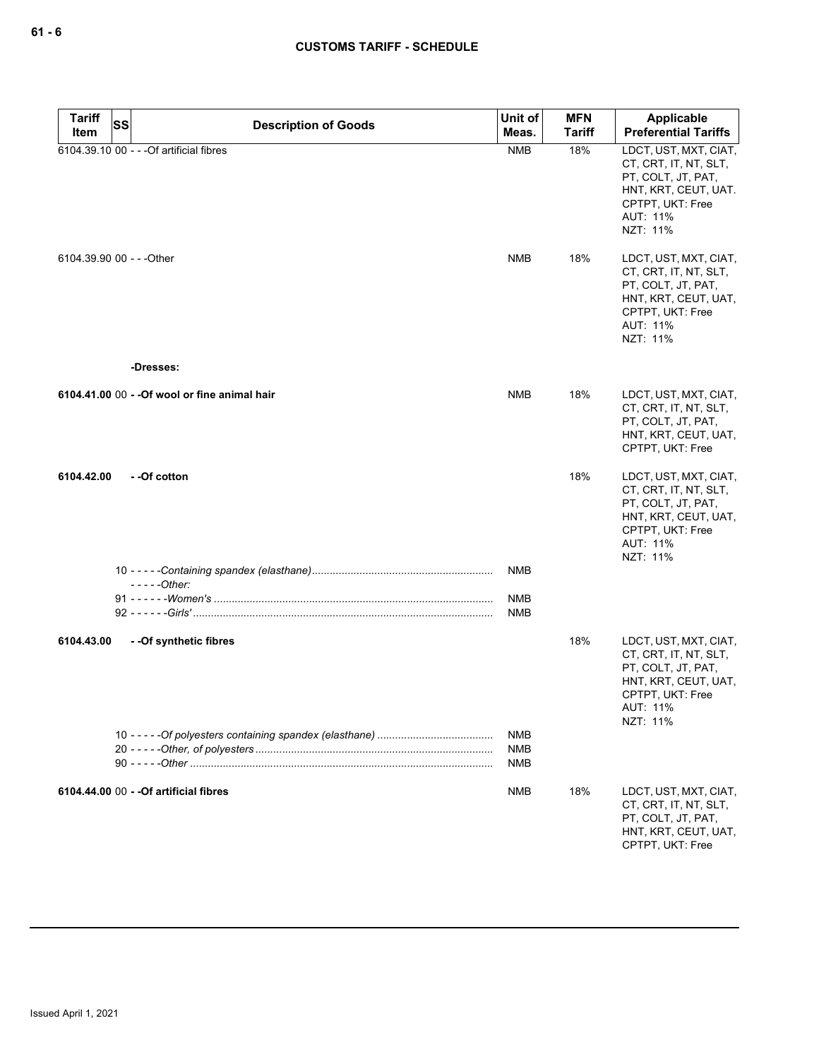| <b>Tariff</b>             | SS<br><b>Description of Goods</b>             | Unit of                                | <b>MFN</b>    | Applicable                                                                                                                               |
|---------------------------|-----------------------------------------------|----------------------------------------|---------------|------------------------------------------------------------------------------------------------------------------------------------------|
| Item                      |                                               | Meas.                                  | <b>Tariff</b> | <b>Preferential Tariffs</b>                                                                                                              |
|                           | 6104.39.10 00 - - - Of artificial fibres      | <b>NMB</b>                             | 18%           | LDCT, UST, MXT, CIAT,<br>CT, CRT, IT, NT, SLT,<br>PT, COLT, JT, PAT,<br>HNT, KRT, CEUT, UAT.<br>CPTPT, UKT: Free<br>AUT: 11%<br>NZT: 11% |
| 6104.39.90 00 - - - Other |                                               | NMB                                    | 18%           | LDCT, UST, MXT, CIAT,<br>CT, CRT, IT, NT, SLT,<br>PT, COLT, JT, PAT,<br>HNT, KRT, CEUT, UAT,<br>CPTPT, UKT: Free<br>AUT: 11%<br>NZT: 11% |
|                           | -Dresses:                                     |                                        |               |                                                                                                                                          |
|                           | 6104.41.00 00 - - Of wool or fine animal hair | <b>NMB</b>                             | 18%           | LDCT, UST, MXT, CIAT,<br>CT, CRT, IT, NT, SLT,<br>PT, COLT, JT, PAT,<br>HNT, KRT, CEUT, UAT,<br>CPTPT, UKT: Free                         |
| 6104.42.00                | - -Of cotton                                  |                                        | 18%           | LDCT, UST, MXT, CIAT,<br>CT, CRT, IT, NT, SLT,<br>PT, COLT, JT, PAT,<br>HNT, KRT, CEUT, UAT,<br>CPTPT, UKT: Free<br>AUT: 11%<br>NZT: 11% |
|                           |                                               | <b>NMB</b>                             |               |                                                                                                                                          |
|                           | $---Other:$                                   | <b>NMB</b>                             |               |                                                                                                                                          |
|                           |                                               | <b>NMB</b>                             |               |                                                                                                                                          |
| 6104.43.00                | - -Of synthetic fibres                        |                                        | 18%           | LDCT, UST, MXT, CIAT,<br>CT, CRT, IT, NT, SLT,<br>PT, COLT, JT, PAT,<br>HNT, KRT, CEUT, UAT,<br>CPTPT, UKT: Free<br>AUT: 11%<br>NZT: 11% |
|                           |                                               | <b>NMB</b><br><b>NMB</b><br><b>NMB</b> |               |                                                                                                                                          |
|                           | 6104.44.00 00 - - Of artificial fibres        | <b>NMB</b>                             | 18%           | LDCT, UST, MXT, CIAT,<br>CT, CRT, IT, NT, SLT,<br>PT, COLT, JT, PAT,<br>HNT, KRT, CEUT, UAT,<br>CPTPT, UKT: Free                         |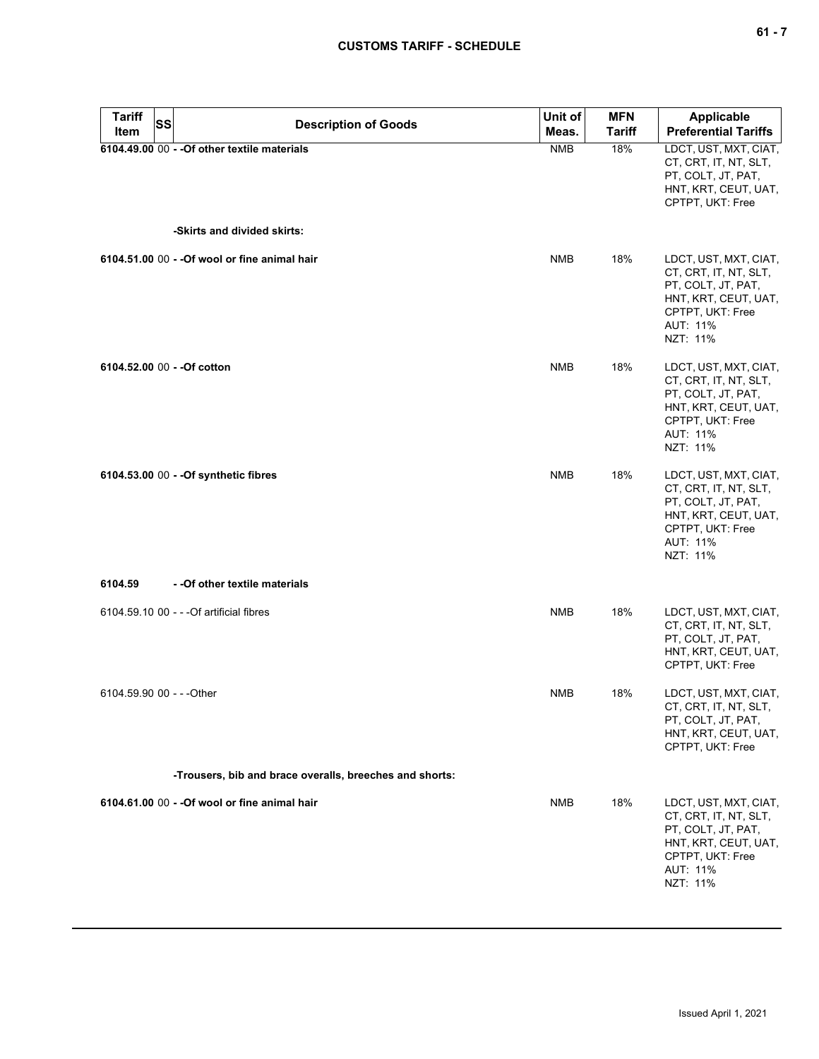| <b>Tariff</b>             | <b>SS</b><br><b>Description of Goods</b>                                    | Unit of    | <b>MFN</b>    | <b>Applicable</b>                                                                                                                        |
|---------------------------|-----------------------------------------------------------------------------|------------|---------------|------------------------------------------------------------------------------------------------------------------------------------------|
| Item                      |                                                                             | Meas.      | <b>Tariff</b> | <b>Preferential Tariffs</b>                                                                                                              |
|                           | 6104.49.00 00 - - Of other textile materials<br>-Skirts and divided skirts: | <b>NMB</b> | 18%           | LDCT, UST, MXT, CIAT,<br>CT, CRT, IT, NT, SLT,<br>PT, COLT, JT, PAT,<br>HNT, KRT, CEUT, UAT,<br>CPTPT, UKT: Free                         |
|                           |                                                                             |            |               |                                                                                                                                          |
|                           | 6104.51.00 00 - - Of wool or fine animal hair                               | <b>NMB</b> | 18%           | LDCT, UST, MXT, CIAT,<br>CT, CRT, IT, NT, SLT,<br>PT, COLT, JT, PAT,<br>HNT, KRT, CEUT, UAT,<br>CPTPT, UKT: Free<br>AUT: 11%<br>NZT: 11% |
|                           | 6104.52.00 00 - - Of cotton                                                 | <b>NMB</b> | 18%           | LDCT, UST, MXT, CIAT,<br>CT, CRT, IT, NT, SLT,<br>PT, COLT, JT, PAT,<br>HNT, KRT, CEUT, UAT,<br>CPTPT, UKT: Free<br>AUT: 11%<br>NZT: 11% |
|                           | 6104.53.00 00 - - Of synthetic fibres                                       | <b>NMB</b> | 18%           | LDCT, UST, MXT, CIAT,<br>CT, CRT, IT, NT, SLT,<br>PT, COLT, JT, PAT,<br>HNT, KRT, CEUT, UAT,<br>CPTPT, UKT: Free<br>AUT: 11%<br>NZT: 11% |
| 6104.59                   | - - Of other textile materials                                              |            |               |                                                                                                                                          |
|                           | 6104.59.10 00 - - - Of artificial fibres                                    | <b>NMB</b> | 18%           | LDCT, UST, MXT, CIAT,<br>CT, CRT, IT, NT, SLT,<br>PT, COLT, JT, PAT,<br>HNT, KRT, CEUT, UAT,<br>CPTPT, UKT: Free                         |
| 6104.59.90 00 - - - Other |                                                                             | <b>NMB</b> | 18%           | LDCT, UST, MXT, CIAT,<br>CT, CRT, IT, NT, SLT,<br>PT, COLT, JT, PAT,<br>HNT, KRT, CEUT, UAT,<br>CPTPT, UKT: Free                         |
|                           | -Trousers, bib and brace overalls, breeches and shorts:                     |            |               |                                                                                                                                          |
|                           | 6104.61.00 00 - - Of wool or fine animal hair                               | NMB        | 18%           | LDCT, UST, MXT, CIAT,<br>CT, CRT, IT, NT, SLT,<br>PT, COLT, JT, PAT,<br>HNT, KRT, CEUT, UAT,<br>CPTPT, UKT: Free<br>AUT: 11%<br>NZT: 11% |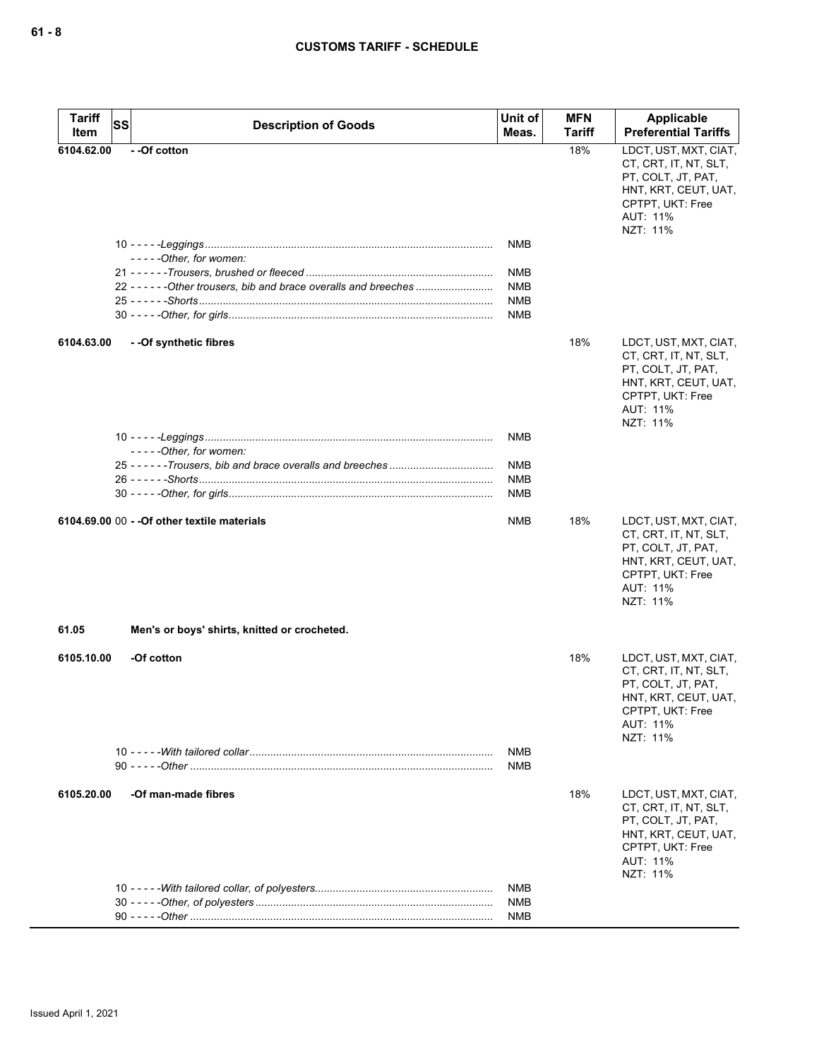| <b>Tariff</b><br>Item | <b>SS</b> | <b>Description of Goods</b>                                                                                 | Unit of<br>Meas.         | <b>MFN</b><br><b>Tariff</b> | <b>Applicable</b><br><b>Preferential Tariffs</b>                                                                                         |
|-----------------------|-----------|-------------------------------------------------------------------------------------------------------------|--------------------------|-----------------------------|------------------------------------------------------------------------------------------------------------------------------------------|
| 6104.62.00            |           | --Of cotton<br>-----Other, for women:<br>22 - - - - - - Other trousers, bib and brace overalls and breeches | NMB<br><b>NMB</b>        | 18%                         | LDCT, UST, MXT, CIAT,<br>CT, CRT, IT, NT, SLT,<br>PT, COLT, JT, PAT,<br>HNT, KRT, CEUT, UAT,<br>CPTPT, UKT: Free<br>AUT: 11%<br>NZT: 11% |
|                       |           |                                                                                                             | <b>NMB</b><br>NMB<br>NMB |                             |                                                                                                                                          |
| 6104.63.00            |           | --Of synthetic fibres                                                                                       |                          | 18%                         | LDCT, UST, MXT, CIAT,<br>CT, CRT, IT, NT, SLT,<br>PT, COLT, JT, PAT,<br>HNT, KRT, CEUT, UAT,<br>CPTPT, UKT: Free<br>AUT: 11%             |
|                       |           |                                                                                                             | NMB                      |                             | NZT: 11%                                                                                                                                 |
|                       |           | -----Other, for women:                                                                                      | NMB<br>NMB<br>NMB        |                             |                                                                                                                                          |
|                       |           | 6104.69.00 00 - - Of other textile materials                                                                | <b>NMB</b>               | 18%                         | LDCT, UST, MXT, CIAT,<br>CT, CRT, IT, NT, SLT,<br>PT, COLT, JT, PAT,<br>HNT, KRT, CEUT, UAT,<br>CPTPT, UKT: Free<br>AUT: 11%<br>NZT: 11% |
| 61.05                 |           | Men's or boys' shirts, knitted or crocheted.                                                                |                          |                             |                                                                                                                                          |
| 6105.10.00            |           | -Of cotton                                                                                                  |                          | 18%                         | LDCT, UST, MXT, CIAT,<br>CT, CRT, IT, NT, SLT,<br>PT, COLT, JT, PAT,<br>HNT, KRT, CEUT, UAT,<br>CPTPT, UKT: Free<br>AUT: 11%<br>NZT: 11% |
|                       |           |                                                                                                             | <b>NMB</b><br><b>NMB</b> |                             |                                                                                                                                          |
| 6105.20.00            |           | -Of man-made fibres                                                                                         |                          | 18%                         | LDCT, UST, MXT, CIAT,<br>CT, CRT, IT, NT, SLT,<br>PT, COLT, JT, PAT,<br>HNT, KRT, CEUT, UAT,<br>CPTPT, UKT: Free<br>AUT: 11%<br>NZT: 11% |
|                       |           |                                                                                                             | NMB<br>NMB<br>NMB        |                             |                                                                                                                                          |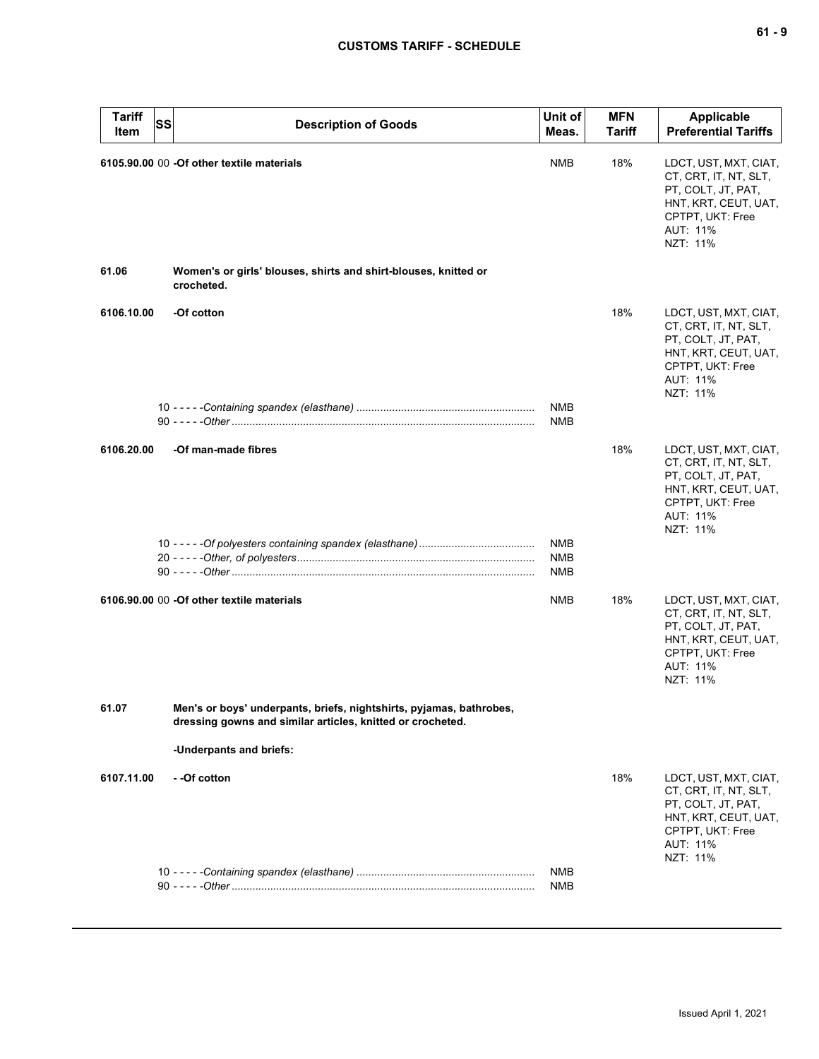| × | ×<br>۰. |
|---|---------|
|---|---------|

| <b>Tariff</b><br><b>SS</b><br>Item | <b>Description of Goods</b>                                                                                                       | Unit of<br>Meas.                       | <b>MFN</b><br>Tariff | <b>Applicable</b><br><b>Preferential Tariffs</b>                                                                                         |
|------------------------------------|-----------------------------------------------------------------------------------------------------------------------------------|----------------------------------------|----------------------|------------------------------------------------------------------------------------------------------------------------------------------|
|                                    | 6105.90.00 00 -Of other textile materials                                                                                         | <b>NMB</b>                             | 18%                  | LDCT, UST, MXT, CIAT,<br>CT, CRT, IT, NT, SLT,<br>PT, COLT, JT, PAT,<br>HNT, KRT, CEUT, UAT,<br>CPTPT, UKT: Free<br>AUT: 11%<br>NZT: 11% |
| 61.06                              | Women's or girls' blouses, shirts and shirt-blouses, knitted or<br>crocheted.                                                     |                                        |                      |                                                                                                                                          |
| 6106.10.00                         | -Of cotton                                                                                                                        |                                        | 18%                  | LDCT, UST, MXT, CIAT,<br>CT, CRT, IT, NT, SLT,<br>PT, COLT, JT, PAT,<br>HNT, KRT, CEUT, UAT,<br>CPTPT, UKT: Free<br>AUT: 11%<br>NZT: 11% |
|                                    |                                                                                                                                   | <b>NMB</b><br><b>NMB</b>               |                      |                                                                                                                                          |
| 6106.20.00                         | -Of man-made fibres                                                                                                               |                                        | 18%                  | LDCT, UST, MXT, CIAT,<br>CT, CRT, IT, NT, SLT,<br>PT, COLT, JT, PAT,<br>HNT, KRT, CEUT, UAT,<br>CPTPT, UKT: Free<br>AUT: 11%<br>NZT: 11% |
|                                    |                                                                                                                                   | <b>NMB</b><br><b>NMB</b><br><b>NMB</b> |                      |                                                                                                                                          |
|                                    | 6106.90.00 00 - Of other textile materials                                                                                        | <b>NMB</b>                             | 18%                  | LDCT, UST, MXT, CIAT,<br>CT, CRT, IT, NT, SLT,<br>PT, COLT, JT, PAT,<br>HNT, KRT, CEUT, UAT,<br>CPTPT, UKT: Free<br>AUT: 11%<br>NZT: 11% |
| 61.07                              | Men's or boys' underpants, briefs, nightshirts, pyjamas, bathrobes,<br>dressing gowns and similar articles, knitted or crocheted. |                                        |                      |                                                                                                                                          |
|                                    | -Underpants and briefs:                                                                                                           |                                        |                      |                                                                                                                                          |
| 6107.11.00                         | - -Of cotton                                                                                                                      |                                        | 18%                  | LDCT, UST, MXT, CIAT,<br>CT, CRT, IT, NT, SLT,<br>PT, COLT, JT, PAT,<br>HNT, KRT, CEUT, UAT,<br>CPTPT, UKT: Free<br>AUT: 11%<br>NZT: 11% |
|                                    |                                                                                                                                   | <b>NMB</b><br><b>NMB</b>               |                      |                                                                                                                                          |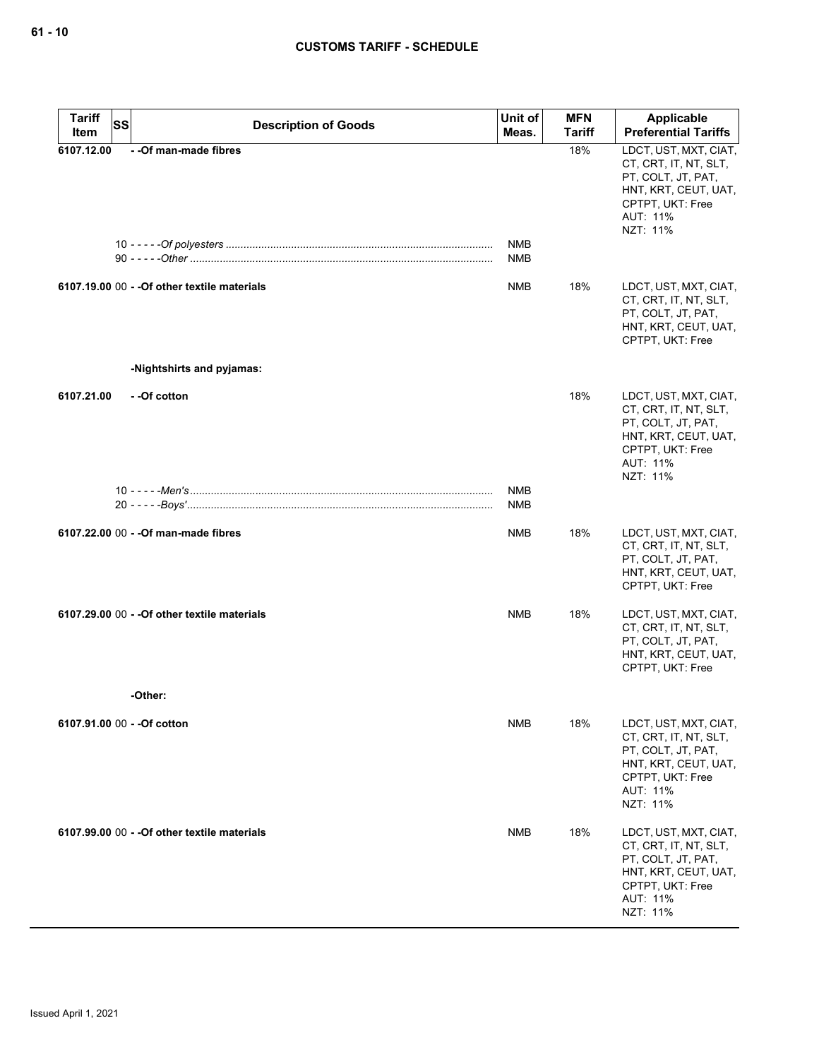| <b>Tariff</b><br><b>SS</b>  | <b>Description of Goods</b>                  | Unit of                  | <b>MFN</b>           | Applicable<br><b>Preferential Tariffs</b>                                                                                                |
|-----------------------------|----------------------------------------------|--------------------------|----------------------|------------------------------------------------------------------------------------------------------------------------------------------|
| Item                        | - - Of man-made fibres                       | Meas.                    | <b>Tariff</b><br>18% |                                                                                                                                          |
| 6107.12.00                  |                                              | <b>NMB</b><br><b>NMB</b> |                      | LDCT, UST, MXT, CIAT,<br>CT, CRT, IT, NT, SLT,<br>PT, COLT, JT, PAT,<br>HNT, KRT, CEUT, UAT,<br>CPTPT, UKT: Free<br>AUT: 11%<br>NZT: 11% |
|                             |                                              |                          |                      |                                                                                                                                          |
|                             | 6107.19.00 00 - - Of other textile materials | NMB                      | 18%                  | LDCT, UST, MXT, CIAT,<br>CT, CRT, IT, NT, SLT,<br>PT, COLT, JT, PAT,<br>HNT, KRT, CEUT, UAT,<br>CPTPT, UKT: Free                         |
|                             | -Nightshirts and pyjamas:                    |                          |                      |                                                                                                                                          |
| 6107.21.00                  | - -Of cotton                                 |                          | 18%                  | LDCT, UST, MXT, CIAT,<br>CT, CRT, IT, NT, SLT,<br>PT, COLT, JT, PAT,<br>HNT, KRT, CEUT, UAT,<br>CPTPT, UKT: Free<br>AUT: 11%<br>NZT: 11% |
|                             |                                              | NMB<br><b>NMB</b>        |                      |                                                                                                                                          |
|                             | 6107.22.00 00 - - Of man-made fibres         | NMB                      | 18%                  | LDCT, UST, MXT, CIAT,<br>CT, CRT, IT, NT, SLT,<br>PT, COLT, JT, PAT,<br>HNT, KRT, CEUT, UAT,<br>CPTPT, UKT: Free                         |
|                             | 6107.29.00 00 - - Of other textile materials | <b>NMB</b>               | 18%                  | LDCT, UST, MXT, CIAT,<br>CT, CRT, IT, NT, SLT,<br>PT, COLT, JT, PAT,<br>HNT, KRT, CEUT, UAT,<br>CPTPT, UKT: Free                         |
|                             | -Other:                                      |                          |                      |                                                                                                                                          |
| 6107.91.00 00 - - Of cotton |                                              | NMB                      | 18%                  | LDCT, UST, MXT, CIAT,<br>CT, CRT, IT, NT, SLT,<br>PT, COLT, JT, PAT,<br>HNT, KRT, CEUT, UAT,<br>CPTPT, UKT: Free<br>AUT: 11%<br>NZT: 11% |
|                             | 6107.99.00 00 - - Of other textile materials | NMB                      | 18%                  | LDCT, UST, MXT, CIAT,<br>CT, CRT, IT, NT, SLT,<br>PT, COLT, JT, PAT,<br>HNT, KRT, CEUT, UAT,<br>CPTPT, UKT: Free<br>AUT: 11%<br>NZT: 11% |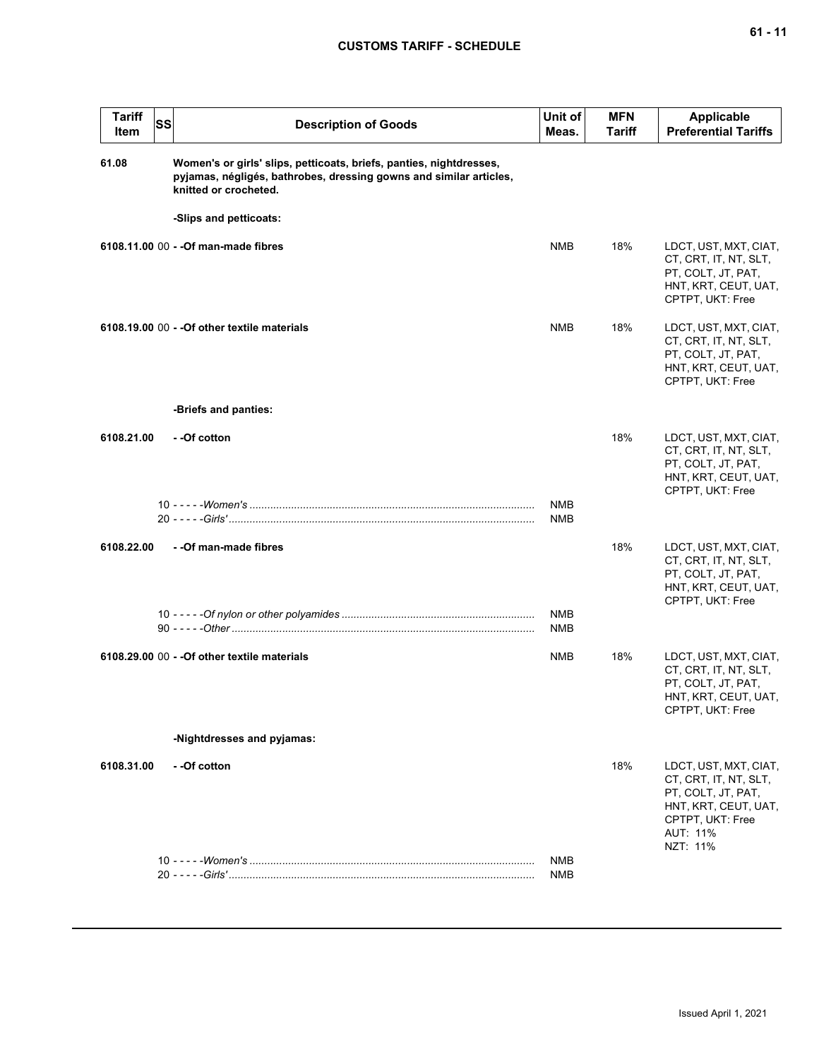## **CUSTOMS TARIFF - SCHEDULE**

| <b>Tariff</b><br>Item | <b>SS</b><br><b>Description of Goods</b>                                                                                                                           | Unit of<br>Meas.         | <b>MFN</b><br>Tariff | <b>Applicable</b><br><b>Preferential Tariffs</b>                                                                                         |
|-----------------------|--------------------------------------------------------------------------------------------------------------------------------------------------------------------|--------------------------|----------------------|------------------------------------------------------------------------------------------------------------------------------------------|
| 61.08                 | Women's or girls' slips, petticoats, briefs, panties, nightdresses,<br>pyjamas, négligés, bathrobes, dressing gowns and similar articles,<br>knitted or crocheted. |                          |                      |                                                                                                                                          |
|                       | -Slips and petticoats:                                                                                                                                             |                          |                      |                                                                                                                                          |
|                       | 6108.11.00 00 - - Of man-made fibres                                                                                                                               | <b>NMB</b>               | 18%                  | LDCT, UST, MXT, CIAT,<br>CT, CRT, IT, NT, SLT,<br>PT, COLT, JT, PAT,<br>HNT, KRT, CEUT, UAT,<br>CPTPT, UKT: Free                         |
|                       | 6108.19.00 00 - - Of other textile materials                                                                                                                       | <b>NMB</b>               | 18%                  | LDCT, UST, MXT, CIAT,<br>CT, CRT, IT, NT, SLT,<br>PT, COLT, JT, PAT,<br>HNT, KRT, CEUT, UAT,<br>CPTPT, UKT: Free                         |
|                       | -Briefs and panties:                                                                                                                                               |                          |                      |                                                                                                                                          |
| 6108.21.00            | - - Of cotton                                                                                                                                                      | <b>NMB</b><br><b>NMB</b> | 18%                  | LDCT, UST, MXT, CIAT,<br>CT, CRT, IT, NT, SLT,<br>PT, COLT, JT, PAT,<br>HNT, KRT, CEUT, UAT,<br>CPTPT, UKT: Free                         |
| 6108.22.00            | - - Of man-made fibres                                                                                                                                             |                          | 18%                  | LDCT, UST, MXT, CIAT,<br>CT, CRT, IT, NT, SLT,<br>PT, COLT, JT, PAT,<br>HNT, KRT, CEUT, UAT,<br>CPTPT, UKT: Free                         |
|                       |                                                                                                                                                                    | <b>NMB</b><br>NMB        |                      |                                                                                                                                          |
|                       | 6108.29.00 00 - - Of other textile materials                                                                                                                       | NMB                      | 18%                  | LDCT, UST, MXT, CIAT,<br>CT, CRT, IT, NT, SLT,<br>PT, COLT, JT, PAT,<br>HNT, KRT, CEUT, UAT,<br>CPTPT, UKT: Free                         |
|                       | -Nightdresses and pyjamas:                                                                                                                                         |                          |                      |                                                                                                                                          |
| 6108.31.00            | --Of cotton                                                                                                                                                        |                          | 18%                  | LDCT, UST, MXT, CIAT,<br>CT, CRT, IT, NT, SLT,<br>PT, COLT, JT, PAT,<br>HNT, KRT, CEUT, UAT,<br>CPTPT, UKT: Free<br>AUT: 11%<br>NZT: 11% |
|                       |                                                                                                                                                                    | <b>NMB</b><br><b>NMB</b> |                      |                                                                                                                                          |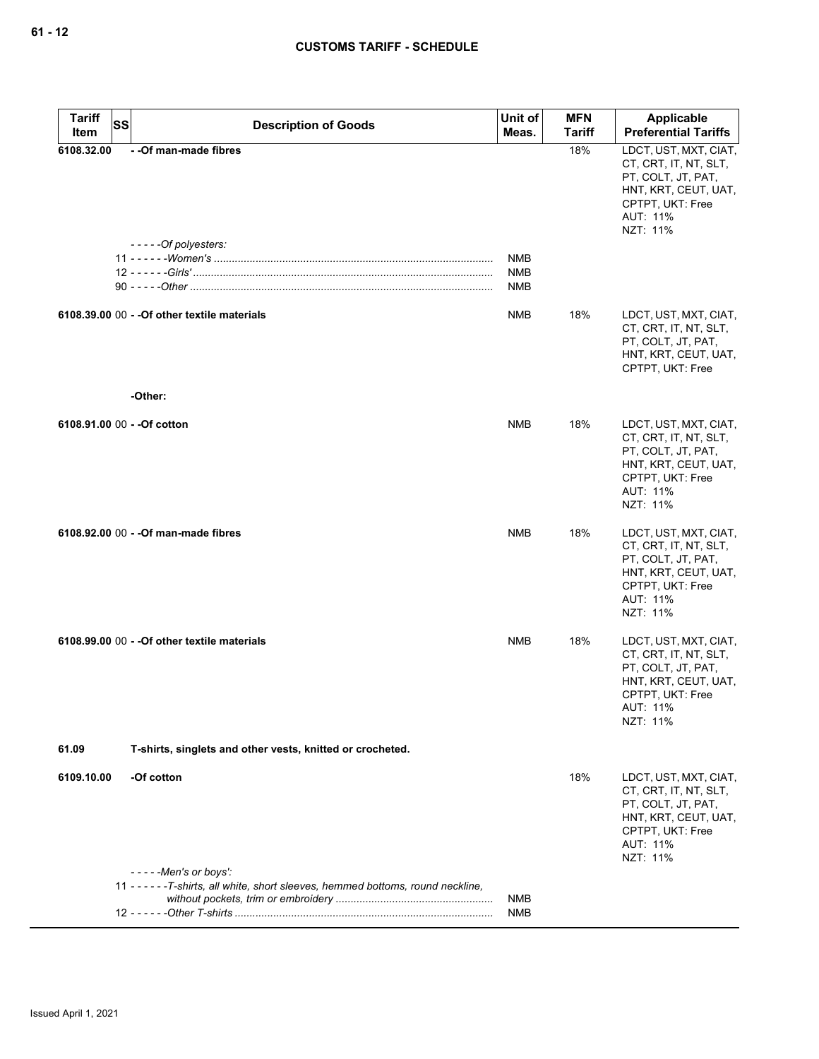| <b>Tariff</b><br><b>SS</b><br>Item | <b>Description of Goods</b>                                                        | Unit of<br>Meas.                | <b>MFN</b><br><b>Tariff</b> | <b>Applicable</b><br><b>Preferential Tariffs</b>                                                                                         |
|------------------------------------|------------------------------------------------------------------------------------|---------------------------------|-----------------------------|------------------------------------------------------------------------------------------------------------------------------------------|
| 6108.32.00                         | - - Of man-made fibres<br>-----Of polyesters:                                      |                                 | 18%                         | LDCT, UST, MXT, CIAT,<br>CT, CRT, IT, NT, SLT,<br>PT, COLT, JT, PAT,<br>HNT, KRT, CEUT, UAT,<br>CPTPT, UKT: Free<br>AUT: 11%<br>NZT: 11% |
|                                    |                                                                                    | <b>NMB</b><br><b>NMB</b><br>NMB |                             |                                                                                                                                          |
|                                    | 6108.39.00 00 - - Of other textile materials                                       | NMB                             | 18%                         | LDCT, UST, MXT, CIAT,<br>CT, CRT, IT, NT, SLT,<br>PT, COLT, JT, PAT,<br>HNT, KRT, CEUT, UAT,<br>CPTPT, UKT: Free                         |
|                                    | -Other:                                                                            |                                 |                             |                                                                                                                                          |
| 6108.91.00 00 - - Of cotton        |                                                                                    | <b>NMB</b>                      | 18%                         | LDCT, UST, MXT, CIAT,<br>CT, CRT, IT, NT, SLT,<br>PT, COLT, JT, PAT,<br>HNT, KRT, CEUT, UAT,<br>CPTPT, UKT: Free<br>AUT: 11%<br>NZT: 11% |
|                                    | 6108.92.00 00 - - Of man-made fibres                                               | <b>NMB</b>                      | 18%                         | LDCT, UST, MXT, CIAT,<br>CT, CRT, IT, NT, SLT,<br>PT, COLT, JT, PAT,<br>HNT, KRT, CEUT, UAT,<br>CPTPT, UKT: Free<br>AUT: 11%<br>NZT: 11% |
|                                    | 6108.99.00 00 - - Of other textile materials                                       | <b>NMB</b>                      | 18%                         | LDCT, UST, MXT, CIAT,<br>CT, CRT, IT, NT, SLT,<br>PT, COLT, JT, PAT,<br>HNT, KRT, CEUT, UAT,<br>CPTPT, UKT: Free<br>AUT: 11%<br>NZT: 11% |
| 61.09                              | T-shirts, singlets and other vests, knitted or crocheted.                          |                                 |                             |                                                                                                                                          |
| 6109.10.00                         | -Of cotton<br>-----Men's or boys':                                                 |                                 | 18%                         | LDCT, UST, MXT, CIAT,<br>CT, CRT, IT, NT, SLT,<br>PT, COLT, JT, PAT,<br>HNT, KRT, CEUT, UAT,<br>CPTPT, UKT: Free<br>AUT: 11%<br>NZT: 11% |
|                                    | 11 - - - - - - T-shirts, all white, short sleeves, hemmed bottoms, round neckline, | <b>NMB</b><br><b>NMB</b>        |                             |                                                                                                                                          |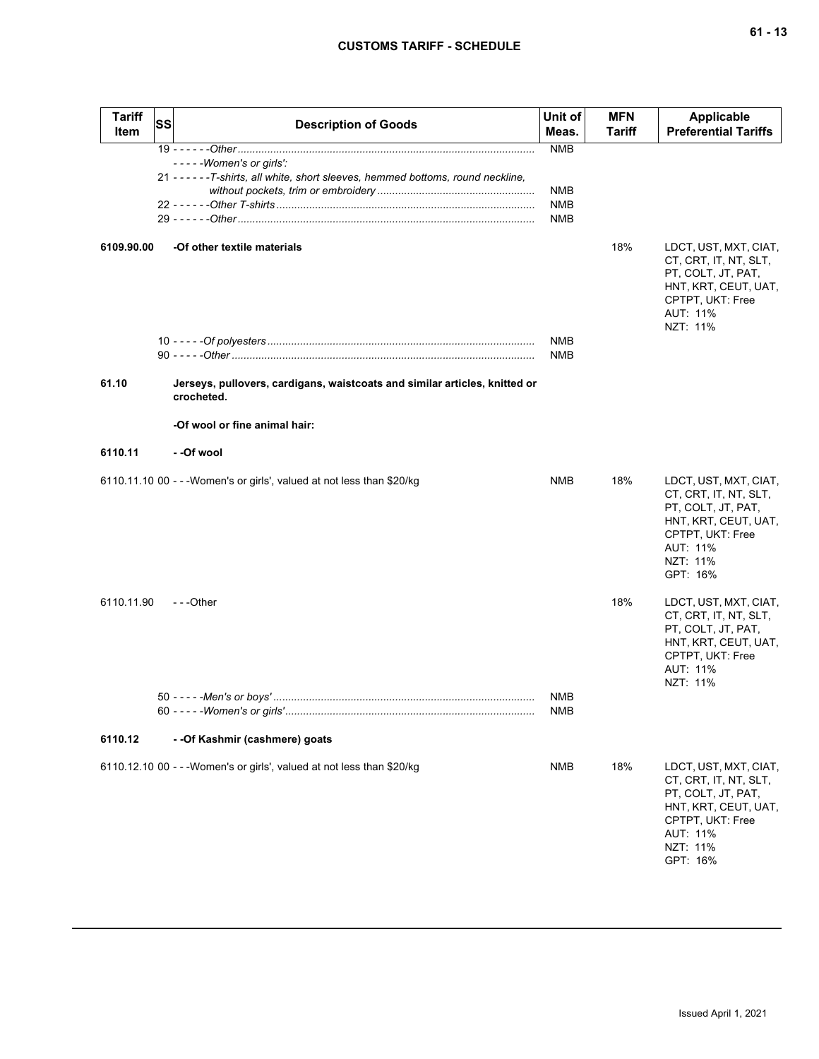| <b>Tariff</b><br><b>Item</b> | <b>SS</b> | <b>Description of Goods</b>                                                                                        | Unit of<br>Meas.                                     | MFN<br>Tariff | <b>Applicable</b><br><b>Preferential Tariffs</b>                                                                                                     |
|------------------------------|-----------|--------------------------------------------------------------------------------------------------------------------|------------------------------------------------------|---------------|------------------------------------------------------------------------------------------------------------------------------------------------------|
|                              |           | - - - - - Women's or girls':<br>21 - - - - - - T-shirts, all white, short sleeves, hemmed bottoms, round neckline, | <b>NMB</b><br><b>NMB</b><br><b>NMB</b><br><b>NMB</b> |               |                                                                                                                                                      |
| 6109.90.00                   |           | -Of other textile materials                                                                                        |                                                      | 18%           | LDCT, UST, MXT, CIAT,<br>CT, CRT, IT, NT, SLT,<br>PT, COLT, JT, PAT,<br>HNT, KRT, CEUT, UAT,<br>CPTPT, UKT: Free<br>AUT: 11%<br>NZT: 11%             |
|                              |           |                                                                                                                    | <b>NMB</b><br><b>NMB</b>                             |               |                                                                                                                                                      |
| 61.10                        |           | Jerseys, pullovers, cardigans, waistcoats and similar articles, knitted or<br>crocheted.                           |                                                      |               |                                                                                                                                                      |
|                              |           | -Of wool or fine animal hair:                                                                                      |                                                      |               |                                                                                                                                                      |
| 6110.11                      |           | - -Of wool                                                                                                         |                                                      |               |                                                                                                                                                      |
|                              |           | 6110.11.10 00 - - - Women's or girls', valued at not less than \$20/kg                                             | <b>NMB</b>                                           | 18%           | LDCT, UST, MXT, CIAT,<br>CT, CRT, IT, NT, SLT,<br>PT, COLT, JT, PAT,<br>HNT, KRT, CEUT, UAT,<br>CPTPT, UKT: Free<br>AUT: 11%<br>NZT: 11%<br>GPT: 16% |
| 6110.11.90                   |           | $-$ - -Other                                                                                                       |                                                      | 18%           | LDCT, UST, MXT, CIAT,<br>CT, CRT, IT, NT, SLT,<br>PT, COLT, JT, PAT,<br>HNT, KRT, CEUT, UAT,<br>CPTPT, UKT: Free<br>AUT: 11%<br>NZT: 11%             |
|                              |           |                                                                                                                    | NMB<br>NMB                                           |               |                                                                                                                                                      |
|                              |           |                                                                                                                    |                                                      |               |                                                                                                                                                      |
| 6110.12                      |           | - - Of Kashmir (cashmere) goats                                                                                    |                                                      |               |                                                                                                                                                      |
|                              |           | 6110.12.10 00 - - - Women's or girls', valued at not less than \$20/kg                                             | <b>NMB</b>                                           | 18%           | LDCT, UST, MXT, CIAT,<br>CT, CRT, IT, NT, SLT,<br>PT, COLT, JT, PAT,<br>HNT, KRT, CEUT, UAT,<br>CPTPT, UKT: Free<br>AUT: 11%<br>NZT: 11%<br>GPT: 16% |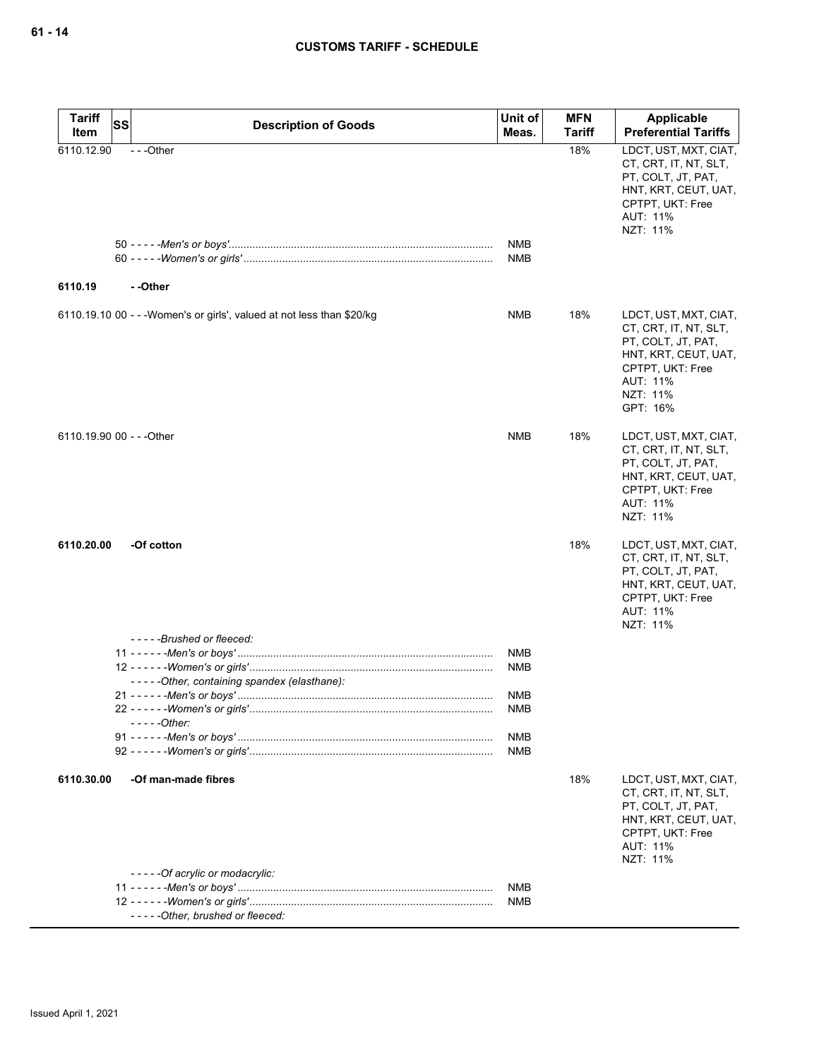| <b>Tariff</b><br><b>SS</b><br>Item | <b>Description of Goods</b>                                            | Unit of<br>Meas.         | <b>MFN</b><br><b>Tariff</b> | Applicable<br><b>Preferential Tariffs</b>                                                                                                            |
|------------------------------------|------------------------------------------------------------------------|--------------------------|-----------------------------|------------------------------------------------------------------------------------------------------------------------------------------------------|
| 6110.12.90                         | $- -$ Other                                                            |                          | 18%                         | LDCT, UST, MXT, CIAT,<br>CT, CRT, IT, NT, SLT,<br>PT, COLT, JT, PAT,<br>HNT, KRT, CEUT, UAT,<br>CPTPT, UKT: Free<br>AUT: 11%<br>NZT: 11%             |
|                                    |                                                                        | <b>NMB</b><br><b>NMB</b> |                             |                                                                                                                                                      |
| 6110.19                            | --Other                                                                |                          |                             |                                                                                                                                                      |
|                                    | 6110.19.10 00 - - - Women's or girls', valued at not less than \$20/kg | <b>NMB</b>               | 18%                         | LDCT, UST, MXT, CIAT,<br>CT, CRT, IT, NT, SLT,<br>PT, COLT, JT, PAT,<br>HNT, KRT, CEUT, UAT,<br>CPTPT, UKT: Free<br>AUT: 11%<br>NZT: 11%<br>GPT: 16% |
| 6110.19.90 00 - - - Other          |                                                                        | NMB                      | 18%                         | LDCT, UST, MXT, CIAT,<br>CT, CRT, IT, NT, SLT,<br>PT, COLT, JT, PAT,<br>HNT, KRT, CEUT, UAT,<br>CPTPT, UKT: Free<br>AUT: 11%<br>NZT: 11%             |
| 6110.20.00                         | -Of cotton                                                             |                          | 18%                         | LDCT, UST, MXT, CIAT,<br>CT, CRT, IT, NT, SLT,<br>PT, COLT, JT, PAT,<br>HNT, KRT, CEUT, UAT,<br>CPTPT, UKT: Free<br>AUT: 11%<br>NZT: 11%             |
|                                    | -----Brushed or fleeced:                                               | NMB                      |                             |                                                                                                                                                      |
|                                    | -----Other, containing spandex (elasthane):                            | <b>NMB</b>               |                             |                                                                                                                                                      |
|                                    |                                                                        | <b>NMB</b><br><b>NMB</b> |                             |                                                                                                                                                      |
|                                    | $---Other:$                                                            | <b>NMB</b><br>NMB        |                             |                                                                                                                                                      |
| 6110.30.00                         | -Of man-made fibres                                                    |                          | 18%                         | LDCT, UST, MXT, CIAT,<br>CT, CRT, IT, NT, SLT,<br>PT, COLT, JT, PAT,<br>HNT, KRT, CEUT, UAT,<br>CPTPT, UKT: Free<br>AUT: 11%<br>NZT: 11%             |
|                                    | -----Of acrylic or modacrylic:<br>-----Other, brushed or fleeced:      | <b>NMB</b><br>NMB        |                             |                                                                                                                                                      |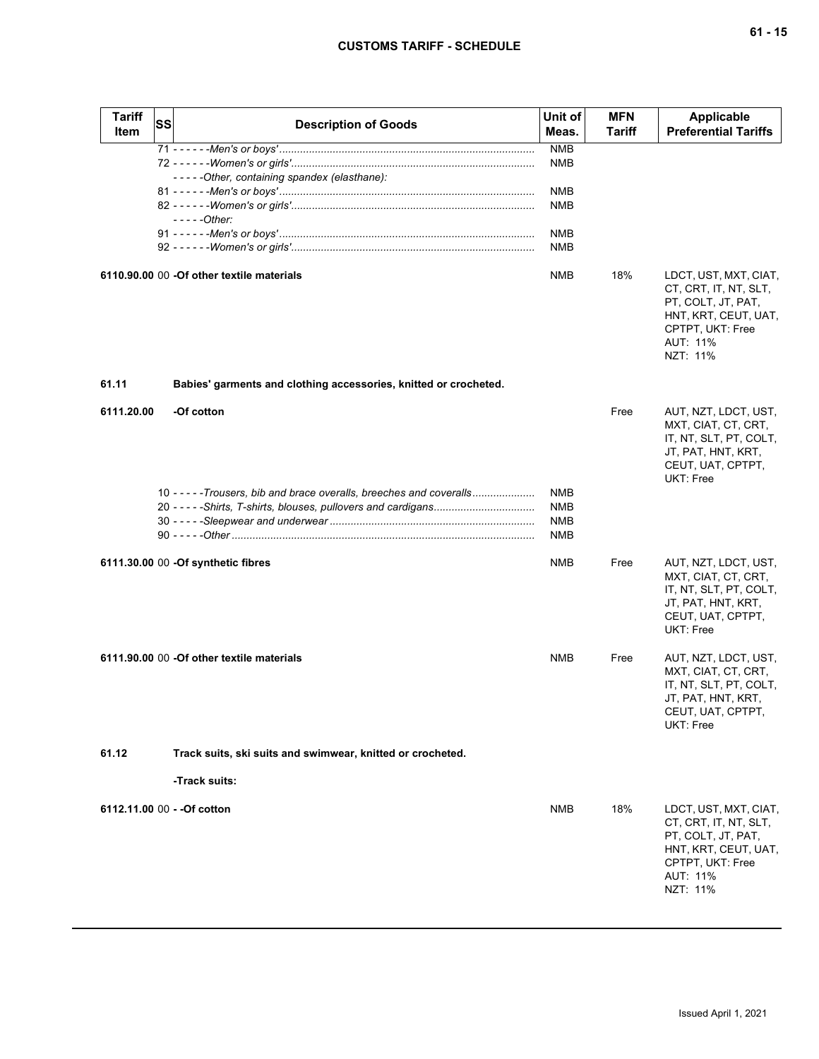| <b>Tariff</b><br>Item | <b>SS</b> | <b>Description of Goods</b>                                           | Unit of<br>Meas.                                     | <b>MFN</b><br>Tariff | Applicable<br><b>Preferential Tariffs</b>                                                                                                |
|-----------------------|-----------|-----------------------------------------------------------------------|------------------------------------------------------|----------------------|------------------------------------------------------------------------------------------------------------------------------------------|
|                       |           | -----Other, containing spandex (elasthane):                           | <b>NMB</b><br><b>NMB</b>                             |                      |                                                                                                                                          |
|                       |           | $---Other:$                                                           | <b>NMB</b><br><b>NMB</b>                             |                      |                                                                                                                                          |
|                       |           |                                                                       | <b>NMB</b><br>NMB                                    |                      |                                                                                                                                          |
|                       |           | 6110.90.00 00 -Of other textile materials                             | NMB                                                  | 18%                  | LDCT, UST, MXT, CIAT,<br>CT, CRT, IT, NT, SLT,<br>PT, COLT, JT, PAT,<br>HNT, KRT, CEUT, UAT,<br>CPTPT, UKT: Free<br>AUT: 11%<br>NZT: 11% |
| 61.11                 |           | Babies' garments and clothing accessories, knitted or crocheted.      |                                                      |                      |                                                                                                                                          |
| 6111.20.00            |           | -Of cotton                                                            |                                                      | Free                 | AUT, NZT, LDCT, UST,<br>MXT, CIAT, CT, CRT,<br>IT, NT, SLT, PT, COLT,<br>JT, PAT, HNT, KRT,<br>CEUT, UAT, CPTPT,<br>UKT: Free            |
|                       |           | 10 - - - - - Trousers, bib and brace overalls, breeches and coveralls | <b>NMB</b><br><b>NMB</b><br><b>NMB</b><br><b>NMB</b> |                      |                                                                                                                                          |
|                       |           | 6111.30.00 00 -Of synthetic fibres                                    | NMB                                                  | Free                 | AUT, NZT, LDCT, UST,<br>MXT, CIAT, CT, CRT,<br>IT, NT, SLT, PT, COLT,<br>JT, PAT, HNT, KRT,<br>CEUT, UAT, CPTPT,<br>UKT: Free            |
|                       |           | 6111.90.00 00 -Of other textile materials                             | <b>NMB</b>                                           | Free                 | AUT, NZT, LDCT, UST,<br>MXT, CIAT, CT, CRT,<br>IT, NT, SLT, PT, COLT,<br>JT, PAT, HNT, KRT,<br>CEUT, UAT, CPTPT,<br>UKT: Free            |
| 61.12                 |           | Track suits, ski suits and swimwear, knitted or crocheted.            |                                                      |                      |                                                                                                                                          |
|                       |           | -Track suits:                                                         |                                                      |                      |                                                                                                                                          |
|                       |           | 6112.11.00 00 - - Of cotton                                           | NMB                                                  | 18%                  | LDCT, UST, MXT, CIAT,<br>CT, CRT, IT, NT, SLT,<br>PT, COLT, JT, PAT,<br>HNT, KRT, CEUT, UAT,<br>CPTPT, UKT: Free<br>AUT: 11%<br>NZT: 11% |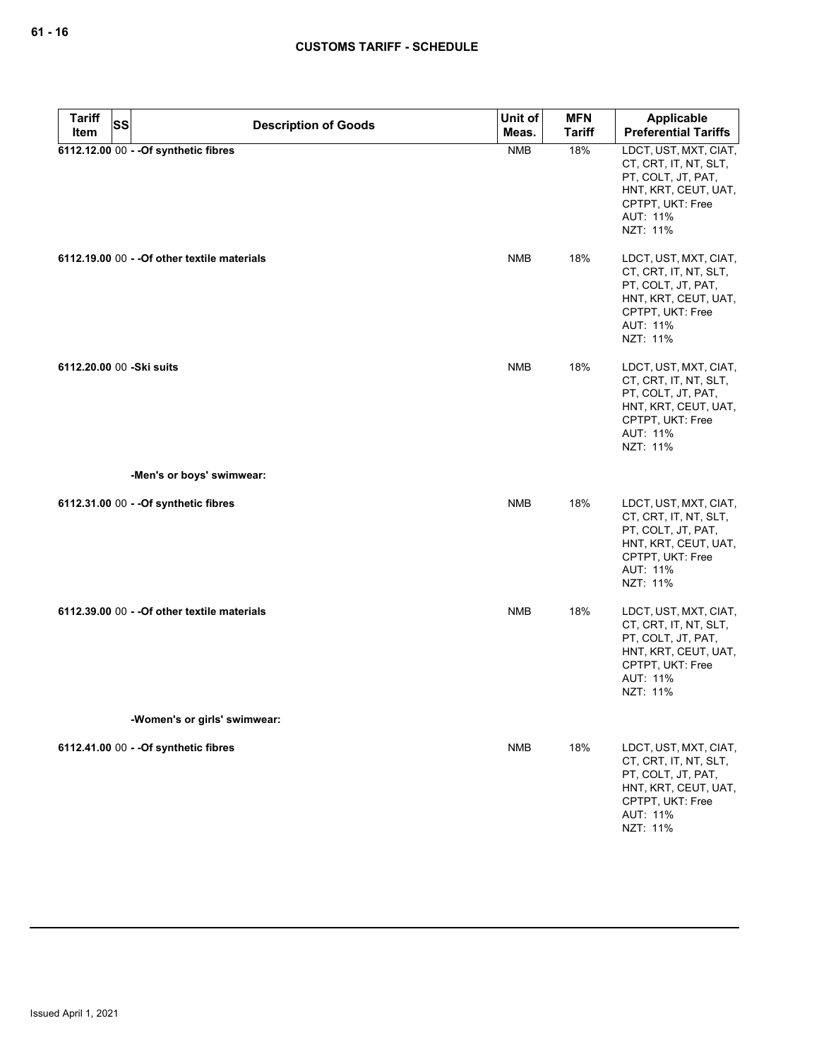| <b>Tariff</b><br><b>SS</b> | <b>Description of Goods</b>                  | Unit of    | <b>MFN</b>    | Applicable                                                                                                                               |
|----------------------------|----------------------------------------------|------------|---------------|------------------------------------------------------------------------------------------------------------------------------------------|
| Item                       |                                              | Meas.      | <b>Tariff</b> | <b>Preferential Tariffs</b>                                                                                                              |
|                            | 6112.12.00 00 - - Of synthetic fibres        | <b>NMB</b> | 18%           | LDCT, UST, MXT, CIAT,<br>CT, CRT, IT, NT, SLT,<br>PT, COLT, JT, PAT,<br>HNT, KRT, CEUT, UAT,<br>CPTPT, UKT: Free<br>AUT: 11%<br>NZT: 11% |
|                            | 6112.19.00 00 - - Of other textile materials | <b>NMB</b> | 18%           | LDCT, UST, MXT, CIAT,<br>CT, CRT, IT, NT, SLT,<br>PT, COLT, JT, PAT,<br>HNT, KRT, CEUT, UAT,<br>CPTPT, UKT: Free<br>AUT: 11%<br>NZT: 11% |
| 6112.20.00 00 -Ski suits   |                                              | <b>NMB</b> | 18%           | LDCT, UST, MXT, CIAT,<br>CT, CRT, IT, NT, SLT,<br>PT, COLT, JT, PAT,<br>HNT, KRT, CEUT, UAT,<br>CPTPT, UKT: Free<br>AUT: 11%<br>NZT: 11% |
|                            | -Men's or boys' swimwear:                    |            |               |                                                                                                                                          |
|                            | 6112.31.00 00 - - Of synthetic fibres        | <b>NMB</b> | 18%           | LDCT, UST, MXT, CIAT,<br>CT, CRT, IT, NT, SLT,<br>PT, COLT, JT, PAT,<br>HNT, KRT, CEUT, UAT,<br>CPTPT, UKT: Free<br>AUT: 11%<br>NZT: 11% |
|                            | 6112.39.00 00 - - Of other textile materials | <b>NMB</b> | 18%           | LDCT, UST, MXT, CIAT,<br>CT, CRT, IT, NT, SLT,<br>PT, COLT, JT, PAT,<br>HNT, KRT, CEUT, UAT,<br>CPTPT, UKT: Free<br>AUT: 11%<br>NZT: 11% |
|                            | -Women's or girls' swimwear:                 |            |               |                                                                                                                                          |
|                            | 6112.41.00 00 - - Of synthetic fibres        | <b>NMB</b> | 18%           | LDCT, UST, MXT, CIAT,<br>CT, CRT, IT, NT, SLT,<br>PT, COLT, JT, PAT,<br>HNT, KRT, CEUT, UAT,<br>CPTPT, UKT: Free<br>AUT: 11%<br>NZT: 11% |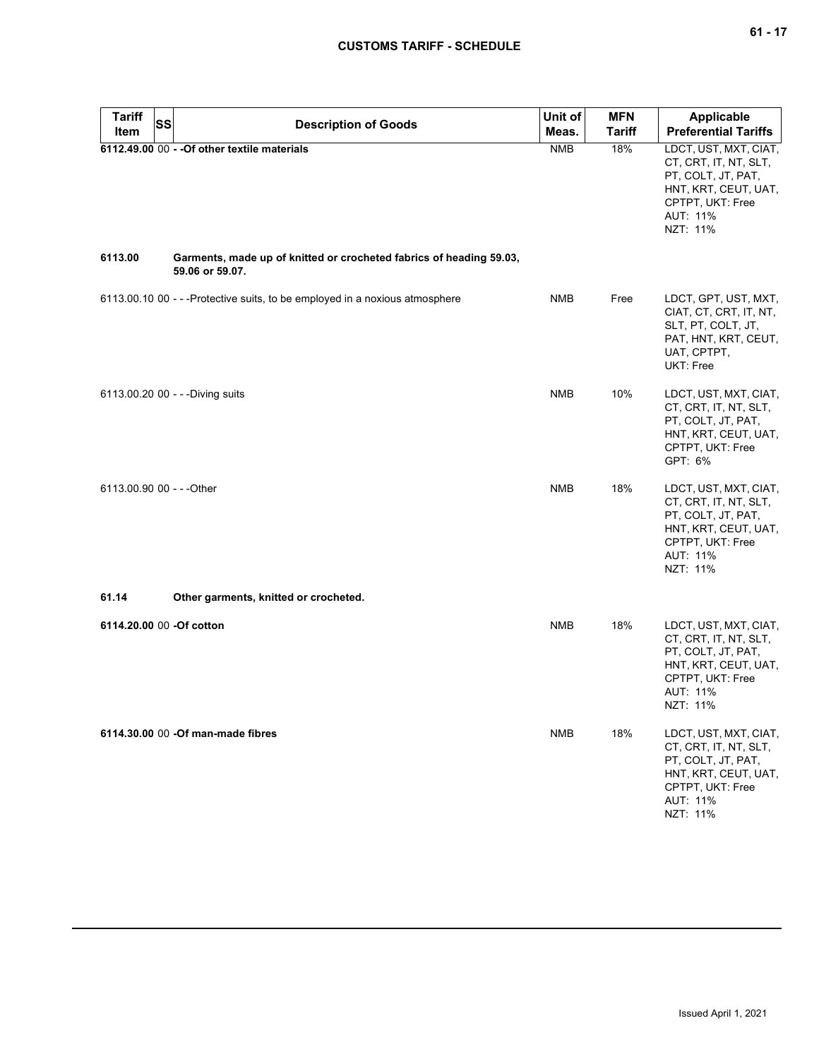| Tariff<br><b>SS</b><br><b>Description of Goods</b>                                                | Unit of    | <b>MFN</b>    | <b>Applicable</b>                                                                                                                        |
|---------------------------------------------------------------------------------------------------|------------|---------------|------------------------------------------------------------------------------------------------------------------------------------------|
| Item                                                                                              | Meas.      | <b>Tariff</b> | <b>Preferential Tariffs</b>                                                                                                              |
| 6112.49.00 00 - - Of other textile materials                                                      | <b>NMB</b> | 18%           | LDCT, UST, MXT, CIAT,<br>CT, CRT, IT, NT, SLT,<br>PT, COLT, JT, PAT,<br>HNT, KRT, CEUT, UAT,<br>CPTPT, UKT: Free<br>AUT: 11%<br>NZT: 11% |
| 6113.00<br>Garments, made up of knitted or crocheted fabrics of heading 59.03,<br>59.06 or 59.07. |            |               |                                                                                                                                          |
| 6113.00.10 00 - - - Protective suits, to be employed in a noxious atmosphere                      | <b>NMB</b> | Free          | LDCT, GPT, UST, MXT,<br>CIAT, CT, CRT, IT, NT,<br>SLT, PT, COLT, JT,<br>PAT, HNT, KRT, CEUT,<br>UAT, CPTPT,<br><b>UKT: Free</b>          |
| 6113.00.20 00 - - - Diving suits                                                                  | <b>NMB</b> | 10%           | LDCT, UST, MXT, CIAT,<br>CT, CRT, IT, NT, SLT,<br>PT, COLT, JT, PAT,<br>HNT, KRT, CEUT, UAT,<br>CPTPT, UKT: Free<br>GPT: 6%              |
| 6113.00.90 00 - - - Other                                                                         | <b>NMB</b> | 18%           | LDCT, UST, MXT, CIAT,<br>CT, CRT, IT, NT, SLT,<br>PT, COLT, JT, PAT,<br>HNT, KRT, CEUT, UAT,<br>CPTPT, UKT: Free<br>AUT: 11%<br>NZT: 11% |
| 61.14<br>Other garments, knitted or crocheted.                                                    |            |               |                                                                                                                                          |
| 6114.20.00 00 -Of cotton                                                                          | <b>NMB</b> | 18%           | LDCT, UST, MXT, CIAT,<br>CT, CRT, IT, NT, SLT,<br>PT, COLT, JT, PAT,<br>HNT, KRT, CEUT, UAT,<br>CPTPT, UKT: Free<br>AUT: 11%<br>NZT: 11% |
| 6114.30.00 00 -Of man-made fibres                                                                 | <b>NMB</b> | 18%           | LDCT, UST, MXT, CIAT,<br>CT, CRT, IT, NT, SLT,<br>PT, COLT, JT, PAT,<br>HNT, KRT, CEUT, UAT,<br>CPTPT, UKT: Free<br>AUT: 11%<br>NZT: 11% |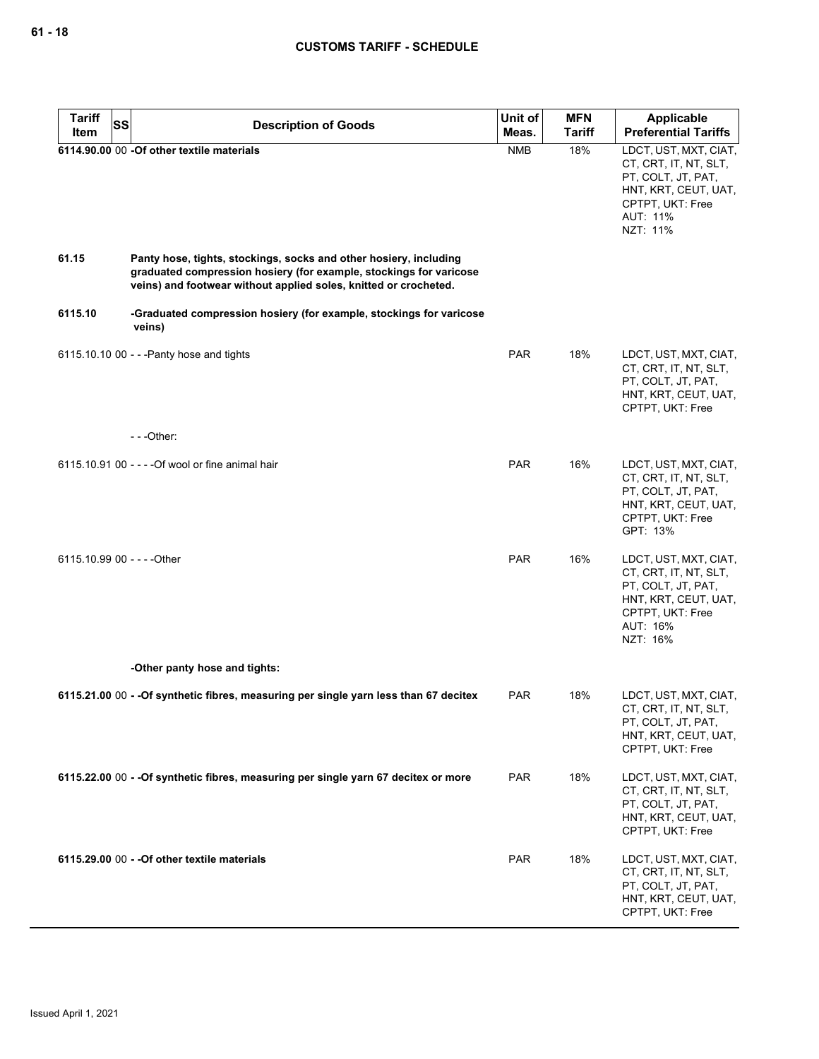| <b>Tariff</b><br>SS<br>Item | <b>Description of Goods</b>                                                                                                                                                                                 | Unit of<br>Meas. | <b>MFN</b><br><b>Tariff</b> | <b>Applicable</b><br><b>Preferential Tariffs</b>                                                                                         |
|-----------------------------|-------------------------------------------------------------------------------------------------------------------------------------------------------------------------------------------------------------|------------------|-----------------------------|------------------------------------------------------------------------------------------------------------------------------------------|
|                             | 6114.90.00 00 -Of other textile materials                                                                                                                                                                   | <b>NMB</b>       | 18%                         | LDCT, UST, MXT, CIAT,<br>CT, CRT, IT, NT, SLT,<br>PT, COLT, JT, PAT,<br>HNT, KRT, CEUT, UAT,<br>CPTPT, UKT: Free<br>AUT: 11%<br>NZT: 11% |
| 61.15                       | Panty hose, tights, stockings, socks and other hosiery, including<br>graduated compression hosiery (for example, stockings for varicose<br>veins) and footwear without applied soles, knitted or crocheted. |                  |                             |                                                                                                                                          |
| 6115.10                     | -Graduated compression hosiery (for example, stockings for varicose<br>veins)                                                                                                                               |                  |                             |                                                                                                                                          |
|                             | 6115.10.10 00 - - - Panty hose and tights                                                                                                                                                                   | PAR              | 18%                         | LDCT, UST, MXT, CIAT,<br>CT, CRT, IT, NT, SLT,<br>PT, COLT, JT, PAT,<br>HNT, KRT, CEUT, UAT,<br>CPTPT, UKT: Free                         |
|                             | $--$ Other:                                                                                                                                                                                                 |                  |                             |                                                                                                                                          |
|                             | 6115.10.91 00 - - - - Of wool or fine animal hair                                                                                                                                                           | PAR              | 16%                         | LDCT, UST, MXT, CIAT,<br>CT, CRT, IT, NT, SLT,<br>PT, COLT, JT, PAT,<br>HNT, KRT, CEUT, UAT,<br>CPTPT, UKT: Free<br>GPT: 13%             |
| 6115.10.99 00 - - - - Other |                                                                                                                                                                                                             | <b>PAR</b>       | 16%                         | LDCT, UST, MXT, CIAT,<br>CT, CRT, IT, NT, SLT,<br>PT, COLT, JT, PAT,<br>HNT, KRT, CEUT, UAT,<br>CPTPT, UKT: Free<br>AUT: 16%<br>NZT: 16% |
|                             | -Other panty hose and tights:                                                                                                                                                                               |                  |                             |                                                                                                                                          |
|                             | 6115.21.00 00 - - Of synthetic fibres, measuring per single yarn less than 67 decitex                                                                                                                       | <b>PAR</b>       | 18%                         | LDCT, UST, MXT, CIAT,<br>CT, CRT, IT, NT, SLT,<br>PT, COLT, JT, PAT,<br>HNT, KRT, CEUT, UAT,<br>CPTPT, UKT: Free                         |
|                             | 6115.22.00 00 - - Of synthetic fibres, measuring per single yarn 67 decitex or more                                                                                                                         | PAR              | 18%                         | LDCT, UST, MXT, CIAT,<br>CT, CRT, IT, NT, SLT,<br>PT, COLT, JT, PAT,<br>HNT, KRT, CEUT, UAT,<br>CPTPT, UKT: Free                         |
|                             | 6115.29.00 00 - - Of other textile materials                                                                                                                                                                | <b>PAR</b>       | 18%                         | LDCT, UST, MXT, CIAT,<br>CT, CRT, IT, NT, SLT,<br>PT, COLT, JT, PAT,<br>HNT, KRT, CEUT, UAT,<br>CPTPT, UKT: Free                         |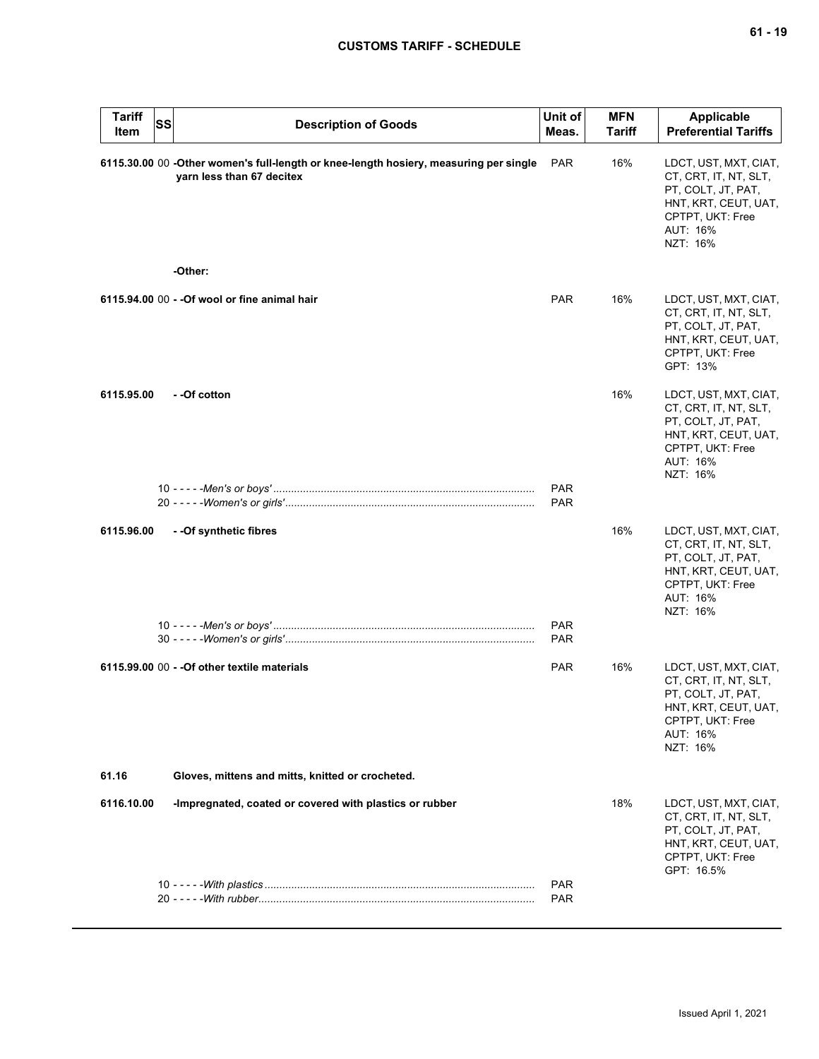## **CUSTOMS TARIFF - SCHEDULE**

| <b>Tariff</b><br>Item | SS | <b>Description of Goods</b>                                                                                        | Unit of<br>Meas.         | <b>MFN</b><br>Tariff | <b>Applicable</b><br><b>Preferential Tariffs</b>                                                                                         |
|-----------------------|----|--------------------------------------------------------------------------------------------------------------------|--------------------------|----------------------|------------------------------------------------------------------------------------------------------------------------------------------|
|                       |    | 6115.30.00 00 -Other women's full-length or knee-length hosiery, measuring per single<br>yarn less than 67 decitex | <b>PAR</b>               | 16%                  | LDCT, UST, MXT, CIAT,<br>CT, CRT, IT, NT, SLT,<br>PT, COLT, JT, PAT,<br>HNT, KRT, CEUT, UAT,<br>CPTPT, UKT: Free<br>AUT: 16%<br>NZT: 16% |
|                       |    | -Other:                                                                                                            |                          |                      |                                                                                                                                          |
|                       |    | 6115.94.00 00 - - Of wool or fine animal hair                                                                      | <b>PAR</b>               | 16%                  | LDCT, UST, MXT, CIAT,<br>CT, CRT, IT, NT, SLT,<br>PT, COLT, JT, PAT,<br>HNT, KRT, CEUT, UAT,<br>CPTPT, UKT: Free<br>GPT: 13%             |
| 6115.95.00            |    | - -Of cotton                                                                                                       |                          | 16%                  | LDCT, UST, MXT, CIAT,<br>CT, CRT, IT, NT, SLT,<br>PT, COLT, JT, PAT,<br>HNT, KRT, CEUT, UAT,<br>CPTPT, UKT: Free<br>AUT: 16%<br>NZT: 16% |
|                       |    |                                                                                                                    | <b>PAR</b><br><b>PAR</b> |                      |                                                                                                                                          |
| 6115.96.00            |    | - - Of synthetic fibres                                                                                            |                          | 16%                  | LDCT, UST, MXT, CIAT,<br>CT, CRT, IT, NT, SLT,<br>PT, COLT, JT, PAT,<br>HNT, KRT, CEUT, UAT,<br>CPTPT, UKT: Free<br>AUT: 16%<br>NZT: 16% |
|                       |    |                                                                                                                    | <b>PAR</b><br><b>PAR</b> |                      |                                                                                                                                          |
|                       |    | 6115.99.00 00 - - Of other textile materials                                                                       | <b>PAR</b>               | 16%                  | LDCT, UST, MXT, CIAT,<br>CT, CRT, IT, NT, SLT,<br>PT, COLT, JT, PAT,<br>HNT, KRT, CEUT, UAT,<br>CPTPT, UKT: Free<br>AUT: 16%<br>NZT: 16% |
| 61.16                 |    | Gloves, mittens and mitts, knitted or crocheted.                                                                   |                          |                      |                                                                                                                                          |
| 6116.10.00            |    | -Impregnated, coated or covered with plastics or rubber                                                            |                          | 18%                  | LDCT, UST, MXT, CIAT,<br>CT, CRT, IT, NT, SLT,<br>PT, COLT, JT, PAT,<br>HNT, KRT, CEUT, UAT,<br>CPTPT, UKT: Free<br>GPT: 16.5%           |
|                       |    |                                                                                                                    | <b>PAR</b>               |                      |                                                                                                                                          |
|                       |    |                                                                                                                    | <b>PAR</b>               |                      |                                                                                                                                          |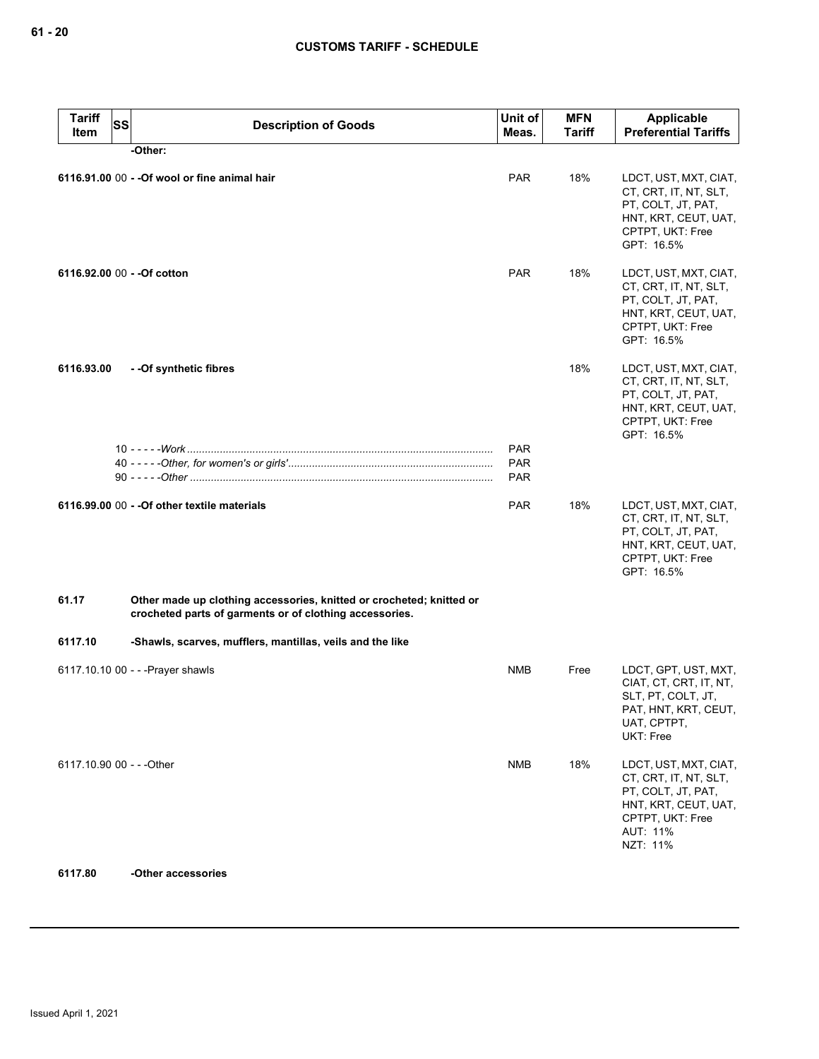| <b>Tariff</b><br>Item | <b>SS</b><br><b>Description of Goods</b>                                                                                        | Unit of<br>Meas.                       | <b>MFN</b><br><b>Tariff</b> | Applicable<br><b>Preferential Tariffs</b>                                                                                                |
|-----------------------|---------------------------------------------------------------------------------------------------------------------------------|----------------------------------------|-----------------------------|------------------------------------------------------------------------------------------------------------------------------------------|
|                       | -Other:                                                                                                                         |                                        |                             |                                                                                                                                          |
|                       | 6116.91.00 00 - - Of wool or fine animal hair                                                                                   | <b>PAR</b>                             | 18%                         | LDCT, UST, MXT, CIAT,<br>CT, CRT, IT, NT, SLT,<br>PT, COLT, JT, PAT,<br>HNT, KRT, CEUT, UAT,<br>CPTPT, UKT: Free<br>GPT: 16.5%           |
|                       | 6116.92.00 00 - - Of cotton                                                                                                     | <b>PAR</b>                             | 18%                         | LDCT, UST, MXT, CIAT,<br>CT, CRT, IT, NT, SLT,<br>PT, COLT, JT, PAT,<br>HNT, KRT, CEUT, UAT,<br>CPTPT, UKT: Free<br>GPT: 16.5%           |
| 6116.93.00            | - - Of synthetic fibres                                                                                                         |                                        | 18%                         | LDCT, UST, MXT, CIAT,<br>CT, CRT, IT, NT, SLT,<br>PT, COLT, JT, PAT,<br>HNT, KRT, CEUT, UAT,<br>CPTPT, UKT: Free<br>GPT: 16.5%           |
|                       |                                                                                                                                 | <b>PAR</b><br><b>PAR</b><br><b>PAR</b> |                             |                                                                                                                                          |
|                       | 6116.99.00 00 - - Of other textile materials                                                                                    | <b>PAR</b>                             | 18%                         | LDCT, UST, MXT, CIAT,<br>CT, CRT, IT, NT, SLT,<br>PT, COLT, JT, PAT,<br>HNT, KRT, CEUT, UAT,<br>CPTPT, UKT: Free<br>GPT: 16.5%           |
| 61.17                 | Other made up clothing accessories, knitted or crocheted; knitted or<br>crocheted parts of garments or of clothing accessories. |                                        |                             |                                                                                                                                          |
| 6117.10               | -Shawls, scarves, mufflers, mantillas, veils and the like                                                                       |                                        |                             |                                                                                                                                          |
|                       | 6117.10.10 00 - - - Prayer shawls                                                                                               | <b>NMB</b>                             | Free                        | LDCT, GPT, UST, MXT,<br>CIAT, CT, CRT, IT, NT,<br>SLT, PT, COLT, JT,<br>PAT, HNT, KRT, CEUT,<br>UAT, CPTPT,<br>UKT: Free                 |
|                       | 6117.10.90 00 - - - Other                                                                                                       | <b>NMB</b>                             | 18%                         | LDCT, UST, MXT, CIAT,<br>CT, CRT, IT, NT, SLT,<br>PT, COLT, JT, PAT,<br>HNT, KRT, CEUT, UAT,<br>CPTPT, UKT: Free<br>AUT: 11%<br>NZT: 11% |

**6117.80 -Other accessories**